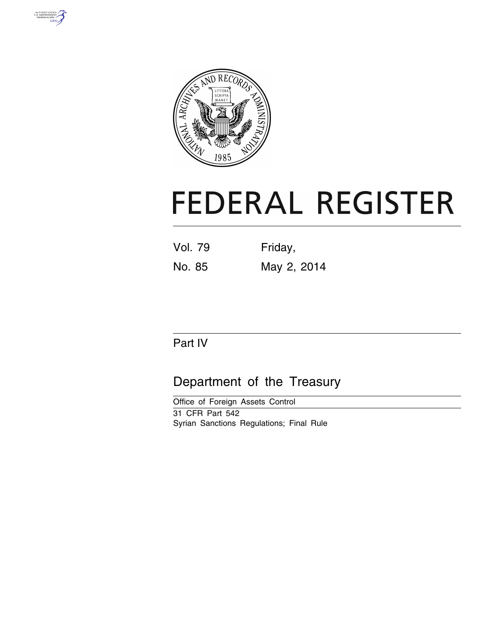



# **FEDERAL REGISTER**

| Vol. 79 | Friday,     |
|---------|-------------|
| No. 85  | May 2, 2014 |

# Part IV

# Department of the Treasury

Office of Foreign Assets Control 31 CFR Part 542 Syrian Sanctions Regulations; Final Rule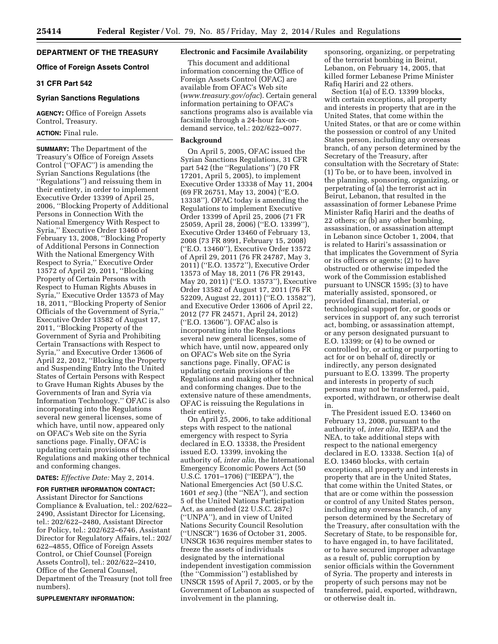# **DEPARTMENT OF THE TREASURY**

# **Office of Foreign Assets Control**

# **31 CFR Part 542**

# **Syrian Sanctions Regulations**

**AGENCY:** Office of Foreign Assets Control, Treasury.

# **ACTION:** Final rule.

**SUMMARY:** The Department of the Treasury's Office of Foreign Assets Control (''OFAC'') is amending the Syrian Sanctions Regulations (the ''Regulations'') and reissuing them in their entirety, in order to implement Executive Order 13399 of April 25, 2006, ''Blocking Property of Additional Persons in Connection With the National Emergency With Respect to Syria,'' Executive Order 13460 of February 13, 2008, ''Blocking Property of Additional Persons in Connection With the National Emergency With Respect to Syria,'' Executive Order 13572 of April 29, 2011, ''Blocking Property of Certain Persons with Respect to Human Rights Abuses in Syria,'' Executive Order 13573 of May 18, 2011, ''Blocking Property of Senior Officials of the Government of Syria,'' Executive Order 13582 of August 17, 2011, ''Blocking Property of the Government of Syria and Prohibiting Certain Transactions with Respect to Syria,'' and Executive Order 13606 of April 22, 2012, ''Blocking the Property and Suspending Entry Into the United States of Certain Persons with Respect to Grave Human Rights Abuses by the Governments of Iran and Syria via Information Technology.'' OFAC is also incorporating into the Regulations several new general licenses, some of which have, until now, appeared only on OFAC's Web site on the Syria sanctions page. Finally, OFAC is updating certain provisions of the Regulations and making other technical and conforming changes.

# **DATES:** *Effective Date:* May 2, 2014.

#### **FOR FURTHER INFORMATION CONTACT:**

Assistant Director for Sanctions Compliance & Evaluation, tel.: 202/622– 2490, Assistant Director for Licensing, tel.: 202/622–2480, Assistant Director for Policy, tel.: 202/622–6746, Assistant Director for Regulatory Affairs, tel.: 202/ 622–4855, Office of Foreign Assets Control, or Chief Counsel (Foreign Assets Control), tel.: 202/622–2410, Office of the General Counsel, Department of the Treasury (not toll free numbers).

#### **SUPPLEMENTARY INFORMATION:**

# **Electronic and Facsimile Availability**

This document and additional information concerning the Office of Foreign Assets Control (OFAC) are available from OFAC's Web site (*[www.treasury.gov/ofac](http://www.treasury.gov/ofac)*). Certain general information pertaining to OFAC's sanctions programs also is available via facsimile through a 24-hour fax-ondemand service, tel.: 202/622–0077.

#### **Background**

On April 5, 2005, OFAC issued the Syrian Sanctions Regulations, 31 CFR part 542 (the ''Regulations'') (70 FR 17201, April 5, 2005), to implement Executive Order 13338 of May 11, 2004 (69 FR 26751, May 13, 2004) (''E.O. 13338''). OFAC today is amending the Regulations to implement Executive Order 13399 of April 25, 2006 (71 FR 25059, April 28, 2006) (''E.O. 13399''), Executive Order 13460 of February 13, 2008 (73 FR 8991, February 15, 2008) (''E.O. 13460''), Executive Order 13572 of April 29, 2011 (76 FR 24787, May 3, 2011) (''E.O. 13572''), Executive Order 13573 of May 18, 2011 (76 FR 29143, May 20, 2011) (''E.O. 13573''), Executive Order 13582 of August 17, 2011 (76 FR 52209, August 22, 2011) (''E.O. 13582''), and Executive Order 13606 of April 22, 2012 (77 FR 24571, April 24, 2012) (''E.O. 13606''). OFAC also is incorporating into the Regulations several new general licenses, some of which have, until now, appeared only on OFAC's Web site on the Syria sanctions page. Finally, OFAC is updating certain provisions of the Regulations and making other technical and conforming changes. Due to the extensive nature of these amendments, OFAC is reissuing the Regulations in their entirety.

On April 25, 2006, to take additional steps with respect to the national emergency with respect to Syria declared in E.O. 13338, the President issued E.O. 13399, invoking the authority of, *inter alia,* the International Emergency Economic Powers Act (50 U.S.C. 1701–1706) (''IEEPA''), the National Emergencies Act (50 U.S.C. 1601 *et seq.*) (the ''NEA''), and section 5 of the United Nations Participation Act, as amended (22 U.S.C. 287c) (''UNPA''), and in view of United Nations Security Council Resolution (''UNSCR'') 1636 of October 31, 2005. UNSCR 1636 requires member states to freeze the assets of individuals designated by the international independent investigation commission (the ''Commission'') established by UNSCR 1595 of April 7, 2005, or by the Government of Lebanon as suspected of involvement in the planning,

sponsoring, organizing, or perpetrating of the terrorist bombing in Beirut, Lebanon, on February 14, 2005, that killed former Lebanese Prime Minister Rafiq Hariri and 22 others.

Section 1(a) of E.O. 13399 blocks, with certain exceptions, all property and interests in property that are in the United States, that come within the United States, or that are or come within the possession or control of any United States person, including any overseas branch, of any person determined by the Secretary of the Treasury, after consultation with the Secretary of State: (1) To be, or to have been, involved in the planning, sponsoring, organizing, or perpetrating of (a) the terrorist act in Beirut, Lebanon, that resulted in the assassination of former Lebanese Prime Minister Rafiq Hariri and the deaths of 22 others; or (b) any other bombing, assassination, or assassination attempt in Lebanon since October 1, 2004, that is related to Hariri's assassination or that implicates the Government of Syria or its officers or agents; (2) to have obstructed or otherwise impeded the work of the Commission established pursuant to UNSCR 1595; (3) to have materially assisted, sponsored, or provided financial, material, or technological support for, or goods or services in support of, any such terrorist act, bombing, or assassination attempt, or any person designated pursuant to E.O. 13399; or (4) to be owned or controlled by, or acting or purporting to act for or on behalf of, directly or indirectly, any person designated pursuant to E.O. 13399. The property and interests in property of such persons may not be transferred, paid, exported, withdrawn, or otherwise dealt in.

The President issued E.O. 13460 on February 13, 2008, pursuant to the authority of, *inter alia,* IEEPA and the NEA, to take additional steps with respect to the national emergency declared in E.O. 13338. Section 1(a) of E.O. 13460 blocks, with certain exceptions, all property and interests in property that are in the United States, that come within the United States, or that are or come within the possession or control of any United States person, including any overseas branch, of any person determined by the Secretary of the Treasury, after consultation with the Secretary of State, to be responsible for, to have engaged in, to have facilitated, or to have secured improper advantage as a result of, public corruption by senior officials within the Government of Syria. The property and interests in property of such persons may not be transferred, paid, exported, withdrawn, or otherwise dealt in.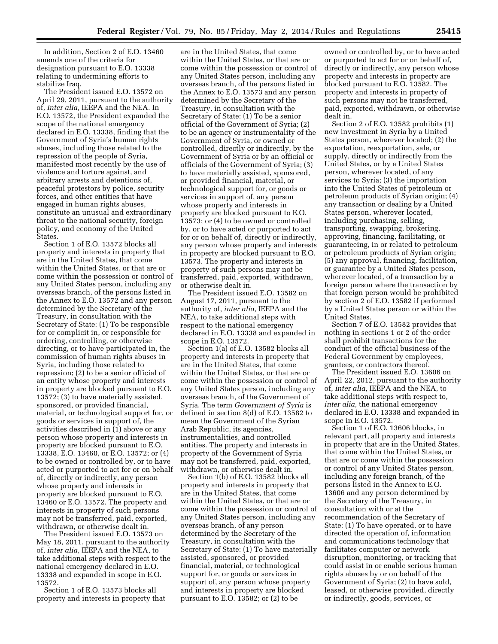In addition, Section 2 of E.O. 13460 amends one of the criteria for designation pursuant to E.O. 13338 relating to undermining efforts to stabilize Iraq.

The President issued E.O. 13572 on April 29, 2011, pursuant to the authority of, *inter alia,* IEEPA and the NEA. In E.O. 13572, the President expanded the scope of the national emergency declared in E.O. 13338, finding that the Government of Syria's human rights abuses, including those related to the repression of the people of Syria, manifested most recently by the use of violence and torture against, and arbitrary arrests and detentions of, peaceful protestors by police, security forces, and other entities that have engaged in human rights abuses, constitute an unusual and extraordinary threat to the national security, foreign policy, and economy of the United States.

Section 1 of E.O. 13572 blocks all property and interests in property that are in the United States, that come within the United States, or that are or come within the possession or control of any United States person, including any overseas branch, of the persons listed in the Annex to E.O. 13572 and any person determined by the Secretary of the Treasury, in consultation with the Secretary of State: (1) To be responsible for or complicit in, or responsible for ordering, controlling, or otherwise directing, or to have participated in, the commission of human rights abuses in Syria, including those related to repression; (2) to be a senior official of an entity whose property and interests in property are blocked pursuant to E.O. 13572; (3) to have materially assisted, sponsored, or provided financial, material, or technological support for, or goods or services in support of, the activities described in (1) above or any person whose property and interests in property are blocked pursuant to E.O. 13338, E.O. 13460, or E.O. 13572; or (4) to be owned or controlled by, or to have acted or purported to act for or on behalf of, directly or indirectly, any person whose property and interests in property are blocked pursuant to E.O. 13460 or E.O. 13572. The property and interests in property of such persons may not be transferred, paid, exported, withdrawn, or otherwise dealt in.

The President issued E.O. 13573 on May 18, 2011, pursuant to the authority of, *inter alia,* IEEPA and the NEA, to take additional steps with respect to the national emergency declared in E.O. 13338 and expanded in scope in E.O. 13572.

Section 1 of E.O. 13573 blocks all property and interests in property that

are in the United States, that come within the United States, or that are or come within the possession or control of any United States person, including any overseas branch, of the persons listed in the Annex to E.O. 13573 and any person determined by the Secretary of the Treasury, in consultation with the Secretary of State: (1) To be a senior official of the Government of Syria; (2) to be an agency or instrumentality of the Government of Syria, or owned or controlled, directly or indirectly, by the Government of Syria or by an official or officials of the Government of Syria; (3) to have materially assisted, sponsored, or provided financial, material, or technological support for, or goods or services in support of, any person whose property and interests in property are blocked pursuant to E.O. 13573; or (4) to be owned or controlled by, or to have acted or purported to act for or on behalf of, directly or indirectly, any person whose property and interests in property are blocked pursuant to E.O. 13573. The property and interests in property of such persons may not be transferred, paid, exported, withdrawn, or otherwise dealt in.

The President issued E.O. 13582 on August 17, 2011, pursuant to the authority of, *inter alia,* IEEPA and the NEA, to take additional steps with respect to the national emergency declared in E.O. 13338 and expanded in scope in E.O. 13572.

Section 1(a) of E.O. 13582 blocks all property and interests in property that are in the United States, that come within the United States, or that are or come within the possession or control of any United States person, including any overseas branch, of the Government of Syria. The term *Government of Syria* is defined in section 8(d) of E.O. 13582 to mean the Government of the Syrian Arab Republic, its agencies, instrumentalities, and controlled entities. The property and interests in property of the Government of Syria may not be transferred, paid, exported, withdrawn, or otherwise dealt in.

Section 1(b) of E.O. 13582 blocks all property and interests in property that are in the United States, that come within the United States, or that are or come within the possession or control of any United States person, including any overseas branch, of any person determined by the Secretary of the Treasury, in consultation with the Secretary of State: (1) To have materially assisted, sponsored, or provided financial, material, or technological support for, or goods or services in support of, any person whose property and interests in property are blocked pursuant to E.O. 13582; or (2) to be

owned or controlled by, or to have acted or purported to act for or on behalf of, directly or indirectly, any person whose property and interests in property are blocked pursuant to E.O. 13582. The property and interests in property of such persons may not be transferred, paid, exported, withdrawn, or otherwise dealt in.

Section 2 of E.O. 13582 prohibits (1) new investment in Syria by a United States person, wherever located; (2) the exportation, reexportation, sale, or supply, directly or indirectly from the United States, or by a United States person, wherever located, of any services to Syria; (3) the importation into the United States of petroleum or petroleum products of Syrian origin; (4) any transaction or dealing by a United States person, wherever located, including purchasing, selling, transporting, swapping, brokering, approving, financing, facilitating, or guaranteeing, in or related to petroleum or petroleum products of Syrian origin; (5) any approval, financing, facilitation, or guarantee by a United States person, wherever located, of a transaction by a foreign person where the transaction by that foreign person would be prohibited by section 2 of E.O. 13582 if performed by a United States person or within the United States.

Section 7 of E.O. 13582 provides that nothing in sections 1 or 2 of the order shall prohibit transactions for the conduct of the official business of the Federal Government by employees, grantees, or contractors thereof.

The President issued E.O. 13606 on April 22, 2012, pursuant to the authority of, *inter alia,* IEEPA and the NEA, to take additional steps with respect to, *inter alia,* the national emergency declared in E.O. 13338 and expanded in scope in E.O. 13572.

Section 1 of E.O. 13606 blocks, in relevant part, all property and interests in property that are in the United States, that come within the United States, or that are or come within the possession or control of any United States person, including any foreign branch, of the persons listed in the Annex to E.O. 13606 and any person determined by the Secretary of the Treasury, in consultation with or at the recommendation of the Secretary of State: (1) To have operated, or to have directed the operation of, information and communications technology that facilitates computer or network disruption, monitoring, or tracking that could assist in or enable serious human rights abuses by or on behalf of the Government of Syria; (2) to have sold, leased, or otherwise provided, directly or indirectly, goods, services, or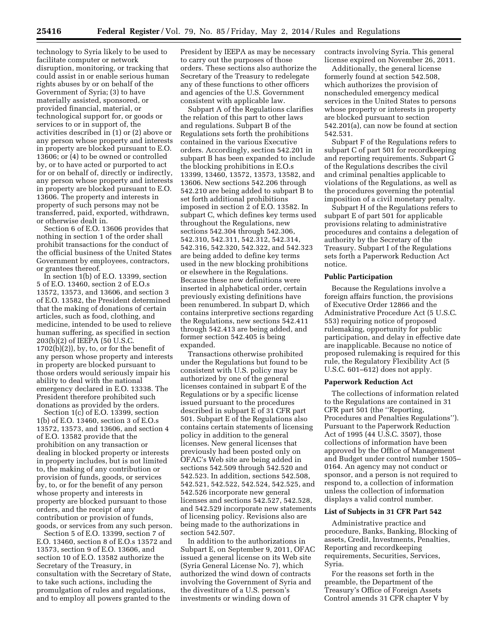technology to Syria likely to be used to facilitate computer or network disruption, monitoring, or tracking that could assist in or enable serious human rights abuses by or on behalf of the Government of Syria; (3) to have materially assisted, sponsored, or provided financial, material, or technological support for, or goods or services to or in support of, the activities described in (1) or (2) above or any person whose property and interests in property are blocked pursuant to E.O. 13606; or (4) to be owned or controlled by, or to have acted or purported to act for or on behalf of, directly or indirectly, any person whose property and interests in property are blocked pursuant to E.O. 13606. The property and interests in property of such persons may not be transferred, paid, exported, withdrawn, or otherwise dealt in.

Section 6 of E.O. 13606 provides that nothing in section 1 of the order shall prohibit transactions for the conduct of the official business of the United States Government by employees, contractors, or grantees thereof.

In section 1(b) of E.O. 13399, section 5 of E.O. 13460, section 2 of E.O.s 13572, 13573, and 13606, and section 3 of E.O. 13582, the President determined that the making of donations of certain articles, such as food, clothing, and medicine, intended to be used to relieve human suffering, as specified in section 203(b)(2) of IEEPA (50 U.S.C.  $1702(b)(2)$ , by, to, or for the benefit of any person whose property and interests in property are blocked pursuant to those orders would seriously impair his ability to deal with the national emergency declared in E.O. 13338. The President therefore prohibited such donations as provided by the orders.

Section 1(c) of E.O. 13399, section 1(b) of E.O. 13460, section 3 of E.O.s 13572, 13573, and 13606, and section 4 of E.O. 13582 provide that the prohibition on any transaction or dealing in blocked property or interests in property includes, but is not limited to, the making of any contribution or provision of funds, goods, or services by, to, or for the benefit of any person whose property and interests in property are blocked pursuant to those orders, and the receipt of any contribution or provision of funds, goods, or services from any such person.

Section 5 of E.O. 13399, section 7 of E.O. 13460, section 8 of E.O.s 13572 and 13573, section 9 of E.O. 13606, and section 10 of E.O. 13582 authorize the Secretary of the Treasury, in consultation with the Secretary of State, to take such actions, including the promulgation of rules and regulations, and to employ all powers granted to the

President by IEEPA as may be necessary to carry out the purposes of those orders. These sections also authorize the Secretary of the Treasury to redelegate any of these functions to other officers and agencies of the U.S. Government consistent with applicable law.

Subpart A of the Regulations clarifies the relation of this part to other laws and regulations. Subpart B of the Regulations sets forth the prohibitions contained in the various Executive orders. Accordingly, section 542.201 in subpart B has been expanded to include the blocking prohibitions in E.O.s 13399, 13460, 13572, 13573, 13582, and 13606. New sections 542.206 through 542.210 are being added to subpart B to set forth additional prohibitions imposed in section 2 of E.O. 13582. In subpart C, which defines key terms used throughout the Regulations, new sections 542.304 through 542.306, 542.310, 542.311, 542.312, 542.314, 542.316, 542.320, 542.322, and 542.323 are being added to define key terms used in the new blocking prohibitions or elsewhere in the Regulations. Because these new definitions were inserted in alphabetical order, certain previously existing definitions have been renumbered. In subpart D, which contains interpretive sections regarding the Regulations, new sections 542.411 through 542.413 are being added, and former section 542.405 is being expanded.

Transactions otherwise prohibited under the Regulations but found to be consistent with U.S. policy may be authorized by one of the general licenses contained in subpart E of the Regulations or by a specific license issued pursuant to the procedures described in subpart E of 31 CFR part 501. Subpart E of the Regulations also contains certain statements of licensing policy in addition to the general licenses. New general licenses that previously had been posted only on OFAC's Web site are being added in sections 542.509 through 542.520 and 542.523. In addition, sections 542.508, 542.521, 542.522, 542.524, 542.525, and 542.526 incorporate new general licenses and sections 542.527, 542.528, and 542.529 incorporate new statements of licensing policy. Revisions also are being made to the authorizations in section 542.507.

In addition to the authorizations in Subpart E, on September 9, 2011, OFAC issued a general license on its Web site (Syria General License No. 7), which authorized the wind down of contracts involving the Government of Syria and the divestiture of a U.S. person's investments or winding down of

contracts involving Syria. This general license expired on November 26, 2011.

Additionally, the general license formerly found at section 542.508, which authorizes the provision of nonscheduled emergency medical services in the United States to persons whose property or interests in property are blocked pursuant to section 542.201(a), can now be found at section 542.531.

Subpart F of the Regulations refers to subpart C of part 501 for recordkeeping and reporting requirements. Subpart G of the Regulations describes the civil and criminal penalties applicable to violations of the Regulations, as well as the procedures governing the potential imposition of a civil monetary penalty.

Subpart H of the Regulations refers to subpart E of part 501 for applicable provisions relating to administrative procedures and contains a delegation of authority by the Secretary of the Treasury. Subpart I of the Regulations sets forth a Paperwork Reduction Act notice.

# **Public Participation**

Because the Regulations involve a foreign affairs function, the provisions of Executive Order 12866 and the Administrative Procedure Act (5 U.S.C. 553) requiring notice of proposed rulemaking, opportunity for public participation, and delay in effective date are inapplicable. Because no notice of proposed rulemaking is required for this rule, the Regulatory Flexibility Act (5 U.S.C. 601–612) does not apply.

# **Paperwork Reduction Act**

The collections of information related to the Regulations are contained in 31 CFR part 501 (the ''Reporting, Procedures and Penalties Regulations''). Pursuant to the Paperwork Reduction Act of 1995 (44 U.S.C. 3507), those collections of information have been approved by the Office of Management and Budget under control number 1505– 0164. An agency may not conduct or sponsor, and a person is not required to respond to, a collection of information unless the collection of information displays a valid control number.

#### **List of Subjects in 31 CFR Part 542**

Administrative practice and procedure, Banks, Banking, Blocking of assets, Credit, Investments, Penalties, Reporting and recordkeeping requirements, Securities, Services, Syria.

For the reasons set forth in the preamble, the Department of the Treasury's Office of Foreign Assets Control amends 31 CFR chapter V by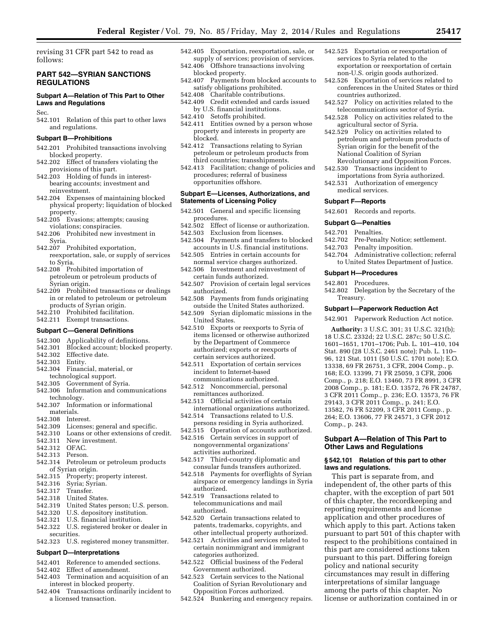revising 31 CFR part 542 to read as follows:

# **PART 542—SYRIAN SANCTIONS REGULATIONS**

# **Subpart A—Relation of This Part to Other Laws and Regulations**

Sec.

542.101 Relation of this part to other laws and regulations.

# **Subpart B—Prohibitions**

- 542.201 Prohibited transactions involving blocked property.
- 542.202 Effect of transfers violating the provisions of this part.
- 542.203 Holding of funds in interestbearing accounts; investment and reinvestment.
- 542.204 Expenses of maintaining blocked physical property; liquidation of blocked property.
- 542.205 Evasions; attempts; causing violations; conspiracies.
- 542.206 Prohibited new investment in Syria.
- 542.207 Prohibited exportation, reexportation, sale, or supply of services to Syria.
- 542.208 Prohibited importation of petroleum or petroleum products of Syrian origin.
- 542.209 Prohibited transactions or dealings in or related to petroleum or petroleum products of Syrian origin.
- 542.210 Prohibited facilitation.
- 542.211 Exempt transactions.

#### **Subpart C—General Definitions**

- 542.300 Applicability of definitions.<br>542.301 Blocked account: blocked pr
- 542.301 Blocked account; blocked property.<br>542.302 Effective date.
- 542.302 Effective date.
- Entity.
- 542.304 Financial, material, or
- technological support.<br>542.305 Government of S
- Government of Syria.
- 542.306 Information and communications technology.
- 542.307 Information or informational materials.
- 542.308 Interest.
- 542.309 Licenses; general and specific.<br>542.310 Loans or other extensions of cr
- 542.310 Loans or other extensions of credit.<br>542.311 New investment.
- New investment.
- 542.312 OFAC.
- Person.
- 542.314 Petroleum or petroleum products of Syrian origin.
- 542.315 Property; property interest.
- 542.316 Syria; Syrian.
- 542.317 Transfer.<br>542.318 United St
- United States.
- 542.319 United States person; U.S. person.
- 542.320 U.S. depository institution.
- 542.321 U.S. financial institution.
- 542.322 U.S. registered broker or dealer in securities.
- 542.323 U.S. registered money transmitter.

# **Subpart D—Interpretations**

- 542.401 Reference to amended sections.
- 542.402 Effect of amendment.
- 542.403 Termination and acquisition of an interest in blocked property.
- 542.404 Transactions ordinarily incident to a licensed transaction.
- 542.405 Exportation, reexportation, sale, or supply of services; provision of services. 542.406 Offshore transactions involving
- blocked property.
- 542.407 Payments from blocked accounts to satisfy obligations prohibited.
- 542.408 Charitable contributions.
- 542.409 Credit extended and cards issued by U.S. financial institutions.
- 542.410 Setoffs prohibited.
- 542.411 Entities owned by a person whose property and interests in property are blocked.
- 542.412 Transactions relating to Syrian petroleum or petroleum products from third countries; transshipments.
- 542.413 Facilitation; change of policies and procedures; referral of business opportunities offshore.

# **Subpart E—Licenses, Authorizations, and Statements of Licensing Policy**

- 542.501 General and specific licensing procedures.
- 542.502 Effect of license or authorization.
- 
- 542.503 Exclusion from licenses.<br>542.504 Payments and transfers t Payments and transfers to blocked accounts in U.S. financial institutions.
- 542.505 Entries in certain accounts for normal service charges authorized.
- 542.506 Investment and reinvestment of certain funds authorized.
- 542.507 Provision of certain legal services authorized.
- 542.508 Payments from funds originating outside the United States authorized.
- 542.509 Syrian diplomatic missions in the United States.
- 542.510 Exports or reexports to Syria of items licensed or otherwise authorized by the Department of Commerce authorized; exports or reexports of certain services authorized.
- 542.511 Exportation of certain services incident to Internet-based communications authorized.
- 542.512 Noncommercial, personal remittances authorized.
- 542.513 Official activities of certain international organizations authorized.
- 542.514 Transactions related to U.S.
- persons residing in Syria authorized.
- 542.515 Operation of accounts authorized. 542.516 Certain services in support of
- nongovernmental organizations' activities authorized.
- 542.517 Third-country diplomatic and consular funds transfers authorized.
- 542.518 Payments for overflights of Syrian airspace or emergency landings in Syria authorized.
- 542.519 Transactions related to telecommunications and mail authorized.
- 542.520 Certain transactions related to patents, trademarks, copyrights, and other intellectual property authorized.
- 542.521 Activities and services related to certain nonimmigrant and immigrant categories authorized.
- 542.522 Official business of the Federal Government authorized.
- 542.523 Certain services to the National Coalition of Syrian Revolutionary and Opposition Forces authorized.
- 542.524 Bunkering and emergency repairs.
- 542.525 Exportation or reexportation of services to Syria related to the exportation or reexportation of certain non-U.S. origin goods authorized.
- 542.526 Exportation of services related to conferences in the United States or third countries authorized.
- 542.527 Policy on activities related to the telecommunications sector of Syria.
- 542.528 Policy on activities related to the agricultural sector of Syria.
- 542.529 Policy on activities related to petroleum and petroleum products of Syrian origin for the benefit of the National Coalition of Syrian Revolutionary and Opposition Forces.
- 542.530 Transactions incident to importations from Syria authorized.
- 542.531 Authorization of emergency medical services.

#### **Subpart F—Reports**

542.601 Records and reports.

#### **Subpart G—Penalties**

- 542.701 Penalties.
- Pre-Penalty Notice; settlement.
- 542.703 Penalty imposition.
- 542.704 Administrative collection; referral to United States Department of Justice.

542.802 Delegation by the Secretary of the

**Subpart I—Paperwork Reduction Act**  542.901 Paperwork Reduction Act notice. **Authority:** 3 U.S.C. 301; 31 U.S.C. 321(b); 18 U.S.C. 2332d; 22 U.S.C. 287c; 50 U.S.C. 1601–1651, 1701–1706; Pub. L. 101–410, 104 Stat. 890 (28 U.S.C. 2461 note); Pub. L. 110– 96, 121 Stat. 1011 (50 U.S.C. 1701 note); E.O. 13338, 69 FR 26751, 3 CFR, 2004 Comp., p. 168; E.O. 13399, 71 FR 25059, 3 CFR, 2006 Comp., p. 218; E.O. 13460, 73 FR 8991, 3 CFR 2008 Comp., p. 181; E.O. 13572, 76 FR 24787, 3 CFR 2011 Comp., p. 236; E.O. 13573, 76 FR 29143, 3 CFR 2011 Comp., p. 241; E.O. 13582, 76 FR 52209, 3 CFR 2011 Comp., p. 264; E.O. 13606, 77 FR 24571, 3 CFR 2012

**Subpart A—Relation of This Part to Other Laws and Regulations** 

**§ 542.101 Relation of this part to other** 

This part is separate from, and independent of, the other parts of this chapter, with the exception of part 501 of this chapter, the recordkeeping and reporting requirements and license application and other procedures of which apply to this part. Actions taken pursuant to part 501 of this chapter with respect to the prohibitions contained in this part are considered actions taken pursuant to this part. Differing foreign

policy and national security

circumstances may result in differing interpretations of similar language among the parts of this chapter. No license or authorization contained in or

#### **Subpart H—Procedures**

542.801 Procedures.

Treasury.

Comp., p. 243.

**laws and regulations.**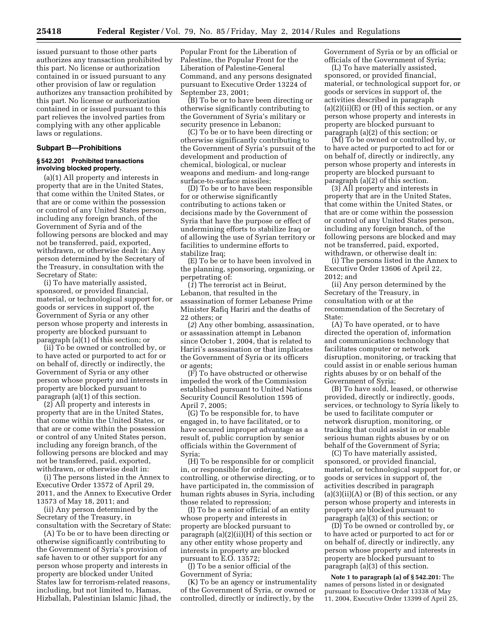issued pursuant to those other parts authorizes any transaction prohibited by this part. No license or authorization contained in or issued pursuant to any other provision of law or regulation authorizes any transaction prohibited by this part. No license or authorization contained in or issued pursuant to this part relieves the involved parties from complying with any other applicable laws or regulations.

# **Subpart B—Prohibitions**

#### **§ 542.201 Prohibited transactions involving blocked property.**

(a)(1) All property and interests in property that are in the United States, that come within the United States, or that are or come within the possession or control of any United States person, including any foreign branch, of the Government of Syria and of the following persons are blocked and may not be transferred, paid, exported, withdrawn, or otherwise dealt in: Any person determined by the Secretary of the Treasury, in consultation with the Secretary of State:

(i) To have materially assisted, sponsored, or provided financial, material, or technological support for, or goods or services in support of, the Government of Syria or any other person whose property and interests in property are blocked pursuant to paragraph (a)(1) of this section; or

(ii) To be owned or controlled by, or to have acted or purported to act for or on behalf of, directly or indirectly, the Government of Syria or any other person whose property and interests in property are blocked pursuant to paragraph (a)(1) of this section.

(2) All property and interests in property that are in the United States, that come within the United States, or that are or come within the possession or control of any United States person, including any foreign branch, of the following persons are blocked and may not be transferred, paid, exported, withdrawn, or otherwise dealt in:

(i) The persons listed in the Annex to Executive Order 13572 of April 29, 2011, and the Annex to Executive Order 13573 of May 18, 2011; and

(ii) Any person determined by the Secretary of the Treasury, in consultation with the Secretary of State:

(A) To be or to have been directing or otherwise significantly contributing to the Government of Syria's provision of safe haven to or other support for any person whose property and interests in property are blocked under United States law for terrorism-related reasons, including, but not limited to, Hamas, Hizballah, Palestinian Islamic Jihad, the

Popular Front for the Liberation of Palestine, the Popular Front for the Liberation of Palestine-General Command, and any persons designated pursuant to Executive Order 13224 of September 23, 2001;

(B) To be or to have been directing or otherwise significantly contributing to the Government of Syria's military or security presence in Lebanon;

(C) To be or to have been directing or otherwise significantly contributing to the Government of Syria's pursuit of the development and production of chemical, biological, or nuclear weapons and medium- and long-range surface-to-surface missiles;

(D) To be or to have been responsible for or otherwise significantly contributing to actions taken or decisions made by the Government of Syria that have the purpose or effect of undermining efforts to stabilize Iraq or of allowing the use of Syrian territory or facilities to undermine efforts to stabilize Iraq;

(E) To be or to have been involved in the planning, sponsoring, organizing, or perpetrating of:

(*1*) The terrorist act in Beirut, Lebanon, that resulted in the assassination of former Lebanese Prime Minister Rafiq Hariri and the deaths of 22 others; or

(*2*) Any other bombing, assassination, or assassination attempt in Lebanon since October 1, 2004, that is related to Hariri's assassination or that implicates the Government of Syria or its officers or agents;

(F) To have obstructed or otherwise impeded the work of the Commission established pursuant to United Nations Security Council Resolution 1595 of April 7, 2005;

(G) To be responsible for, to have engaged in, to have facilitated, or to have secured improper advantage as a result of, public corruption by senior officials within the Government of Syria;

(H) To be responsible for or complicit in, or responsible for ordering, controlling, or otherwise directing, or to have participated in, the commission of human rights abuses in Syria, including those related to repression;

(I) To be a senior official of an entity whose property and interests in property are blocked pursuant to paragraph (a)(2)(ii)(H) of this section or any other entity whose property and interests in property are blocked pursuant to E.O. 13572;

(J) To be a senior official of the Government of Syria;

(K) To be an agency or instrumentality of the Government of Syria, or owned or controlled, directly or indirectly, by the

Government of Syria or by an official or officials of the Government of Syria;

(L) To have materially assisted, sponsored, or provided financial, material, or technological support for, or goods or services in support of, the activities described in paragraph  $(a)(2)(ii)(E)$  or  $(H)$  of this section, or any person whose property and interests in property are blocked pursuant to paragraph (a)(2) of this section; or

(M) To be owned or controlled by, or to have acted or purported to act for or on behalf of, directly or indirectly, any person whose property and interests in property are blocked pursuant to paragraph (a)(2) of this section.

(3) All property and interests in property that are in the United States, that come within the United States, or that are or come within the possession or control of any United States person, including any foreign branch, of the following persons are blocked and may not be transferred, paid, exported, withdrawn, or otherwise dealt in:

(i) The persons listed in the Annex to Executive Order 13606 of April 22, 2012; and

(ii) Any person determined by the Secretary of the Treasury, in consultation with or at the recommendation of the Secretary of State:

(A) To have operated, or to have directed the operation of, information and communications technology that facilitates computer or network disruption, monitoring, or tracking that could assist in or enable serious human rights abuses by or on behalf of the Government of Syria;

(B) To have sold, leased, or otherwise provided, directly or indirectly, goods, services, or technology to Syria likely to be used to facilitate computer or network disruption, monitoring, or tracking that could assist in or enable serious human rights abuses by or on behalf of the Government of Syria;

(C) To have materially assisted, sponsored, or provided financial, material, or technological support for, or goods or services in support of, the activities described in paragraph  $(a)(3)(ii)(A)$  or  $(B)$  of this section, or any person whose property and interests in property are blocked pursuant to paragraph (a)(3) of this section; or

(D) To be owned or controlled by, or to have acted or purported to act for or on behalf of, directly or indirectly, any person whose property and interests in property are blocked pursuant to paragraph (a)(3) of this section.

**Note 1 to paragraph (a) of § 542.201:** The names of persons listed in or designated pursuant to Executive Order 13338 of May 11, 2004, Executive Order 13399 of April 25,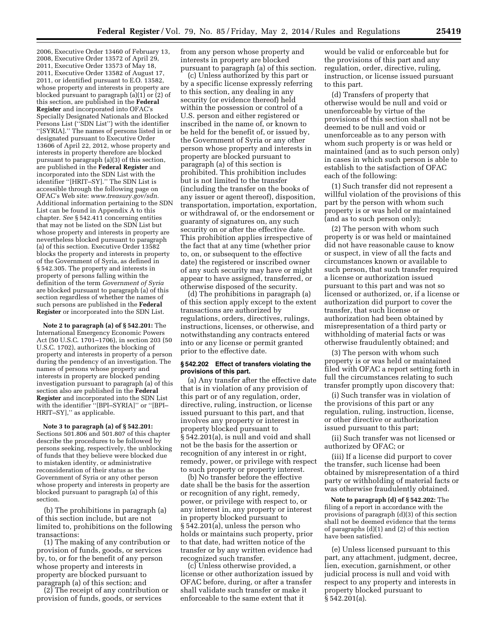2006, Executive Order 13460 of February 13, 2008, Executive Order 13572 of April 29, 2011, Executive Order 13573 of May 18, 2011, Executive Order 13582 of August 17, 2011, or identified pursuant to E.O. 13582, whose property and interests in property are blocked pursuant to paragraph  $(a)(1)$  or  $(2)$  of this section, are published in the **Federal Register** and incorporated into OFAC's Specially Designated Nationals and Blocked Persons List (''SDN List'') with the identifier ''[SYRIA].'' The names of persons listed in or designated pursuant to Executive Order 13606 of April 22, 2012, whose property and interests in property therefore are blocked pursuant to paragraph (a)(3) of this section, are published in the **Federal Register** and incorporated into the SDN List with the identifier ''[HRIT–SY].'' The SDN List is accessible through the following page on OFAC's Web site: *[www.treasury.gov/sdn.](http://www.treasury.gov/sdn)*  Additional information pertaining to the SDN List can be found in Appendix A to this chapter. *See* § 542.411 concerning entities that may not be listed on the SDN List but whose property and interests in property are nevertheless blocked pursuant to paragraph (a) of this section. Executive Order 13582 blocks the property and interests in property of the Government of Syria, as defined in § 542.305. The property and interests in property of persons falling within the definition of the term *Government of Syria*  are blocked pursuant to paragraph (a) of this section regardless of whether the names of such persons are published in the **Federal Register** or incorporated into the SDN List.

**Note 2 to paragraph (a) of § 542.201:** The International Emergency Economic Powers Act (50 U.S.C. 1701–1706), in section 203 (50 U.S.C. 1702), authorizes the blocking of property and interests in property of a person during the pendency of an investigation. The names of persons whose property and interests in property are blocked pending investigation pursuant to paragraph (a) of this section also are published in the **Federal Register** and incorporated into the SDN List with the identifier ''[BPI–SYRIA]'' or ''[BPI– HRIT–SY],'' as applicable.

**Note 3 to paragraph (a) of § 542.201:**  Sections 501.806 and 501.807 of this chapter describe the procedures to be followed by persons seeking, respectively, the unblocking of funds that they believe were blocked due to mistaken identity, or administrative reconsideration of their status as the Government of Syria or any other person whose property and interests in property are blocked pursuant to paragraph (a) of this section.

(b) The prohibitions in paragraph (a) of this section include, but are not limited to, prohibitions on the following transactions:

(1) The making of any contribution or provision of funds, goods, or services by, to, or for the benefit of any person whose property and interests in property are blocked pursuant to paragraph (a) of this section; and

(2) The receipt of any contribution or provision of funds, goods, or services

from any person whose property and interests in property are blocked pursuant to paragraph (a) of this section.

(c) Unless authorized by this part or by a specific license expressly referring to this section, any dealing in any security (or evidence thereof) held within the possession or control of a U.S. person and either registered or inscribed in the name of, or known to be held for the benefit of, or issued by, the Government of Syria or any other person whose property and interests in property are blocked pursuant to paragraph (a) of this section is prohibited. This prohibition includes but is not limited to the transfer (including the transfer on the books of any issuer or agent thereof), disposition, transportation, importation, exportation, or withdrawal of, or the endorsement or guaranty of signatures on, any such security on or after the effective date. This prohibition applies irrespective of the fact that at any time (whether prior to, on, or subsequent to the effective date) the registered or inscribed owner of any such security may have or might appear to have assigned, transferred, or otherwise disposed of the security.

(d) The prohibitions in paragraph (a) of this section apply except to the extent transactions are authorized by regulations, orders, directives, rulings, instructions, licenses, or otherwise, and notwithstanding any contracts entered into or any license or permit granted prior to the effective date.

# **§ 542.202 Effect of transfers violating the provisions of this part.**

(a) Any transfer after the effective date that is in violation of any provision of this part or of any regulation, order, directive, ruling, instruction, or license issued pursuant to this part, and that involves any property or interest in property blocked pursuant to § 542.201(a), is null and void and shall not be the basis for the assertion or recognition of any interest in or right, remedy, power, or privilege with respect to such property or property interest.

(b) No transfer before the effective date shall be the basis for the assertion or recognition of any right, remedy, power, or privilege with respect to, or any interest in, any property or interest in property blocked pursuant to § 542.201(a), unless the person who holds or maintains such property, prior to that date, had written notice of the transfer or by any written evidence had recognized such transfer.

(c) Unless otherwise provided, a license or other authorization issued by OFAC before, during, or after a transfer shall validate such transfer or make it enforceable to the same extent that it

would be valid or enforceable but for the provisions of this part and any regulation, order, directive, ruling, instruction, or license issued pursuant to this part.

(d) Transfers of property that otherwise would be null and void or unenforceable by virtue of the provisions of this section shall not be deemed to be null and void or unenforceable as to any person with whom such property is or was held or maintained (and as to such person only) in cases in which such person is able to establish to the satisfaction of OFAC each of the following:

(1) Such transfer did not represent a willful violation of the provisions of this part by the person with whom such property is or was held or maintained (and as to such person only);

(2) The person with whom such property is or was held or maintained did not have reasonable cause to know or suspect, in view of all the facts and circumstances known or available to such person, that such transfer required a license or authorization issued pursuant to this part and was not so licensed or authorized, or, if a license or authorization did purport to cover the transfer, that such license or authorization had been obtained by misrepresentation of a third party or withholding of material facts or was otherwise fraudulently obtained; and

(3) The person with whom such property is or was held or maintained filed with OFAC a report setting forth in full the circumstances relating to such transfer promptly upon discovery that:

(i) Such transfer was in violation of the provisions of this part or any regulation, ruling, instruction, license, or other directive or authorization issued pursuant to this part;

(ii) Such transfer was not licensed or authorized by OFAC; or

(iii) If a license did purport to cover the transfer, such license had been obtained by misrepresentation of a third party or withholding of material facts or was otherwise fraudulently obtained.

**Note to paragraph (d) of § 542.202:** The filing of a report in accordance with the provisions of paragraph (d)(3) of this section shall not be deemed evidence that the terms of paragraphs (d)(1) and (2) of this section have been satisfied.

(e) Unless licensed pursuant to this part, any attachment, judgment, decree, lien, execution, garnishment, or other judicial process is null and void with respect to any property and interests in property blocked pursuant to § 542.201(a).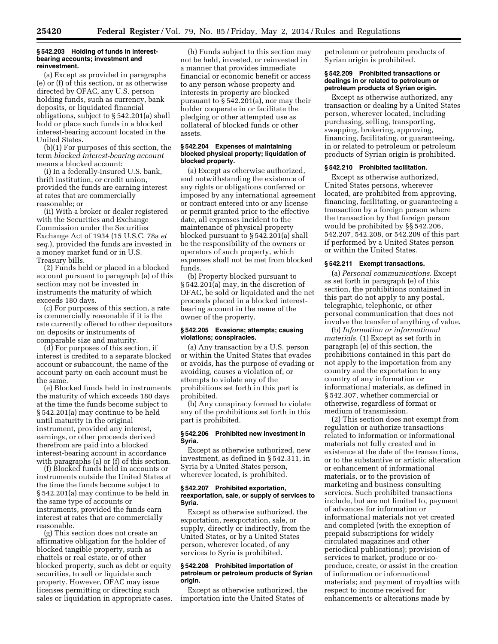#### **§ 542.203 Holding of funds in interestbearing accounts; investment and reinvestment.**

(a) Except as provided in paragraphs (e) or (f) of this section, or as otherwise directed by OFAC, any U.S. person holding funds, such as currency, bank deposits, or liquidated financial obligations, subject to § 542.201(a) shall hold or place such funds in a blocked interest-bearing account located in the United States.

(b)(1) For purposes of this section, the term *blocked interest-bearing account*  means a blocked account:

(i) In a federally-insured U.S. bank, thrift institution, or credit union, provided the funds are earning interest at rates that are commercially reasonable; or

(ii) With a broker or dealer registered with the Securities and Exchange Commission under the Securities Exchange Act of 1934 (15 U.S.C. 78a *et seq.*), provided the funds are invested in a money market fund or in U.S. Treasury bills.

(2) Funds held or placed in a blocked account pursuant to paragraph (a) of this section may not be invested in instruments the maturity of which exceeds 180 days.

(c) For purposes of this section, a rate is commercially reasonable if it is the rate currently offered to other depositors on deposits or instruments of comparable size and maturity.

(d) For purposes of this section, if interest is credited to a separate blocked account or subaccount, the name of the account party on each account must be the same.

(e) Blocked funds held in instruments the maturity of which exceeds 180 days at the time the funds become subject to § 542.201(a) may continue to be held until maturity in the original instrument, provided any interest, earnings, or other proceeds derived therefrom are paid into a blocked interest-bearing account in accordance with paragraphs (a) or (f) of this section.

(f) Blocked funds held in accounts or instruments outside the United States at the time the funds become subject to § 542.201(a) may continue to be held in the same type of accounts or instruments, provided the funds earn interest at rates that are commercially reasonable.

(g) This section does not create an affirmative obligation for the holder of blocked tangible property, such as chattels or real estate, or of other blocked property, such as debt or equity securities, to sell or liquidate such property. However, OFAC may issue licenses permitting or directing such sales or liquidation in appropriate cases.

(h) Funds subject to this section may not be held, invested, or reinvested in a manner that provides immediate financial or economic benefit or access to any person whose property and interests in property are blocked pursuant to § 542.201(a), nor may their holder cooperate in or facilitate the pledging or other attempted use as collateral of blocked funds or other assets.

# **§ 542.204 Expenses of maintaining blocked physical property; liquidation of blocked property.**

(a) Except as otherwise authorized, and notwithstanding the existence of any rights or obligations conferred or imposed by any international agreement or contract entered into or any license or permit granted prior to the effective date, all expenses incident to the maintenance of physical property blocked pursuant to § 542.201(a) shall be the responsibility of the owners or operators of such property, which expenses shall not be met from blocked funds.

(b) Property blocked pursuant to § 542.201(a) may, in the discretion of OFAC, be sold or liquidated and the net proceeds placed in a blocked interestbearing account in the name of the owner of the property.

#### **§ 542.205 Evasions; attempts; causing violations; conspiracies.**

(a) Any transaction by a U.S. person or within the United States that evades or avoids, has the purpose of evading or avoiding, causes a violation of, or attempts to violate any of the prohibitions set forth in this part is prohibited.

(b) Any conspiracy formed to violate any of the prohibitions set forth in this part is prohibited.

# **§ 542.206 Prohibited new investment in Syria.**

Except as otherwise authorized, new investment, as defined in § 542.311, in Syria by a United States person, wherever located, is prohibited.

# **§ 542.207 Prohibited exportation, reexportation, sale, or supply of services to Syria.**

Except as otherwise authorized, the exportation, reexportation, sale, or supply, directly or indirectly, from the United States, or by a United States person, wherever located, of any services to Syria is prohibited.

#### **§ 542.208 Prohibited importation of petroleum or petroleum products of Syrian origin.**

Except as otherwise authorized, the importation into the United States of

petroleum or petroleum products of Syrian origin is prohibited.

# **§ 542.209 Prohibited transactions or dealings in or related to petroleum or petroleum products of Syrian origin.**

Except as otherwise authorized, any transaction or dealing by a United States person, wherever located, including purchasing, selling, transporting, swapping, brokering, approving, financing, facilitating, or guaranteeing, in or related to petroleum or petroleum products of Syrian origin is prohibited.

# **§ 542.210 Prohibited facilitation.**

Except as otherwise authorized, United States persons, wherever located, are prohibited from approving, financing, facilitating, or guaranteeing a transaction by a foreign person where the transaction by that foreign person would be prohibited by §§ 542.206, 542.207, 542.208, or 542.209 of this part if performed by a United States person or within the United States.

# **§ 542.211 Exempt transactions.**

(a) *Personal communications.* Except as set forth in paragraph (e) of this section, the prohibitions contained in this part do not apply to any postal, telegraphic, telephonic, or other personal communication that does not involve the transfer of anything of value.

(b) *Information or informational materials.* (1) Except as set forth in paragraph (e) of this section, the prohibitions contained in this part do not apply to the importation from any country and the exportation to any country of any information or informational materials, as defined in § 542.307, whether commercial or otherwise, regardless of format or medium of transmission.

(2) This section does not exempt from regulation or authorize transactions related to information or informational materials not fully created and in existence at the date of the transactions, or to the substantive or artistic alteration or enhancement of informational materials, or to the provision of marketing and business consulting services. Such prohibited transactions include, but are not limited to, payment of advances for information or informational materials not yet created and completed (with the exception of prepaid subscriptions for widely circulated magazines and other periodical publications); provision of services to market, produce or coproduce, create, or assist in the creation of information or informational materials; and payment of royalties with respect to income received for enhancements or alterations made by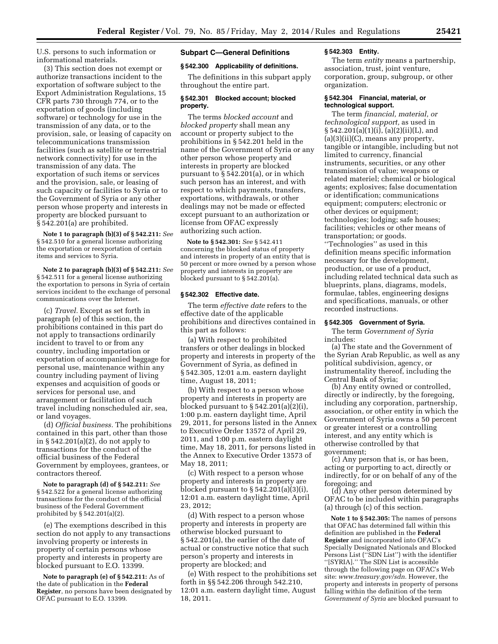U.S. persons to such information or informational materials.

(3) This section does not exempt or authorize transactions incident to the exportation of software subject to the Export Administration Regulations, 15 CFR parts 730 through 774, or to the exportation of goods (including software) or technology for use in the transmission of any data, or to the provision, sale, or leasing of capacity on telecommunications transmission facilities (such as satellite or terrestrial network connectivity) for use in the transmission of any data. The exportation of such items or services and the provision, sale, or leasing of such capacity or facilities to Syria or to the Government of Syria or any other person whose property and interests in property are blocked pursuant to § 542.201(a) are prohibited.

**Note 1 to paragraph (b)(3) of § 542.211:** *See*  § 542.510 for a general license authorizing the exportation or reexportation of certain items and services to Syria.

**Note 2 to paragraph (b)(3) of § 542.211:** *See*  § 542.511 for a general license authorizing the exportation to persons in Syria of certain services incident to the exchange of personal communications over the Internet.

(c) *Travel.* Except as set forth in paragraph (e) of this section, the prohibitions contained in this part do not apply to transactions ordinarily incident to travel to or from any country, including importation or exportation of accompanied baggage for personal use, maintenance within any country including payment of living expenses and acquisition of goods or services for personal use, and arrangement or facilitation of such travel including nonscheduled air, sea, or land voyages.

(d) *Official business.* The prohibitions contained in this part, other than those in § 542.201(a)(2), do not apply to transactions for the conduct of the official business of the Federal Government by employees, grantees, or contractors thereof.

**Note to paragraph (d) of § 542.211:** *See*  § 542.522 for a general license authorizing transactions for the conduct of the official business of the Federal Government prohibited by § 542.201(a)(2).

(e) The exemptions described in this section do not apply to any transactions involving property or interests in property of certain persons whose property and interests in property are blocked pursuant to E.O. 13399.

**Note to paragraph (e) of § 542.211:** As of the date of publication in the **Federal Register**, no persons have been designated by OFAC pursuant to E.O. 13399.

# **Subpart C—General Definitions**

# **§ 542.300 Applicability of definitions.**

The definitions in this subpart apply throughout the entire part.

# **§ 542.301 Blocked account; blocked property.**

The terms *blocked account* and *blocked property* shall mean any account or property subject to the prohibitions in § 542.201 held in the name of the Government of Syria or any other person whose property and interests in property are blocked pursuant to § 542.201(a), or in which such person has an interest, and with respect to which payments, transfers, exportations, withdrawals, or other dealings may not be made or effected except pursuant to an authorization or license from OFAC expressly authorizing such action.

**Note to § 542.301:** *See* § 542.411 concerning the blocked status of property and interests in property of an entity that is 50 percent or more owned by a person whose property and interests in property are blocked pursuant to § 542.201(a).

#### **§ 542.302 Effective date.**

The term *effective date* refers to the effective date of the applicable prohibitions and directives contained in this part as follows:

(a) With respect to prohibited transfers or other dealings in blocked property and interests in property of the Government of Syria, as defined in § 542.305, 12:01 a.m. eastern daylight time, August 18, 2011;

(b) With respect to a person whose property and interests in property are blocked pursuant to  $\S 542.201(a)(2)(i)$ , 1:00 p.m. eastern daylight time, April 29, 2011, for persons listed in the Annex to Executive Order 13572 of April 29, 2011, and 1:00 p.m. eastern daylight time, May 18, 2011, for persons listed in the Annex to Executive Order 13573 of May 18, 2011;

(c) With respect to a person whose property and interests in property are blocked pursuant to § 542.201(a)(3)(i), 12:01 a.m. eastern daylight time, April 23, 2012;

(d) With respect to a person whose property and interests in property are otherwise blocked pursuant to § 542.201(a), the earlier of the date of actual or constructive notice that such person's property and interests in property are blocked; and

(e) With respect to the prohibitions set forth in §§ 542.206 through 542.210, 12:01 a.m. eastern daylight time, August 18, 2011.

# **§ 542.303 Entity.**

The term *entity* means a partnership, association, trust, joint venture, corporation, group, subgroup, or other organization.

# **§ 542.304 Financial, material, or technological support.**

The term *financial, material, or technological support,* as used in § 542.201(a)(1)(i), (a)(2)(ii)(L), and  $(a)(3)(ii)(C)$ , means any property, tangible or intangible, including but not limited to currency, financial instruments, securities, or any other transmission of value; weapons or related materiel; chemical or biological agents; explosives; false documentation or identification; communications equipment; computers; electronic or other devices or equipment; technologies; lodging; safe houses; facilities; vehicles or other means of transportation; or goods. ''Technologies'' as used in this definition means specific information necessary for the development, production, or use of a product, including related technical data such as blueprints, plans, diagrams, models, formulae, tables, engineering designs and specifications, manuals, or other recorded instructions.

# **§ 542.305 Government of Syria.**

The term *Government of Syria*  includes:

(a) The state and the Government of the Syrian Arab Republic, as well as any political subdivision, agency, or instrumentality thereof, including the Central Bank of Syria;

(b) Any entity owned or controlled, directly or indirectly, by the foregoing, including any corporation, partnership, association, or other entity in which the Government of Syria owns a 50 percent or greater interest or a controlling interest, and any entity which is otherwise controlled by that government;

(c) Any person that is, or has been, acting or purporting to act, directly or indirectly, for or on behalf of any of the foregoing; and

(d) Any other person determined by OFAC to be included within paragraphs (a) through (c) of this section.

**Note 1 to § 542.305:** The names of persons that OFAC has determined fall within this definition are published in the **Federal Register** and incorporated into OFAC's Specially Designated Nationals and Blocked Persons List (''SDN List'') with the identifier ''[SYRIA].'' The SDN List is accessible through the following page on OFAC's Web site: *[www.treasury.gov/sdn.](http://www.treasury.gov/sdn)* However, the property and interests in property of persons falling within the definition of the term *Government of Syria* are blocked pursuant to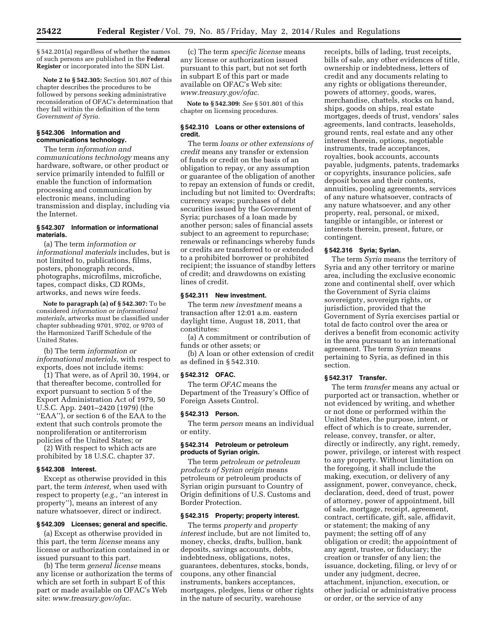§ 542.201(a) regardless of whether the names of such persons are published in the **Federal Register** or incorporated into the SDN List.

**Note 2 to § 542.305:** Section 501.807 of this chapter describes the procedures to be followed by persons seeking administrative reconsideration of OFAC's determination that they fall within the definition of the term *Government of Syria.* 

# **§ 542.306 Information and communications technology.**

The term *information and communications technology* means any hardware, software, or other product or service primarily intended to fulfill or enable the function of information processing and communication by electronic means, including transmission and display, including via the Internet.

# **§ 542.307 Information or informational materials.**

(a) The term *information or informational materials* includes, but is not limited to, publications, films, posters, phonograph records, photographs, microfilms, microfiche, tapes, compact disks, CD ROMs, artworks, and news wire feeds.

**Note to paragraph (a) of § 542.307:** To be considered *information or informational materials,* artworks must be classified under chapter subheading 9701, 9702, or 9703 of the Harmonized Tariff Schedule of the United States.

(b) The term *information or informational materials,* with respect to exports, does not include items:

(1) That were, as of April 30, 1994, or that thereafter become, controlled for export pursuant to section 5 of the Export Administration Act of 1979, 50 U.S.C. App. 2401–2420 (1979) (the ''EAA''), or section 6 of the EAA to the extent that such controls promote the nonproliferation or antiterrorism policies of the United States; or

(2) With respect to which acts are prohibited by 18 U.S.C. chapter 37.

# **§ 542.308 Interest.**

Except as otherwise provided in this part, the term *interest,* when used with respect to property (*e.g.,* ''an interest in property''), means an interest of any nature whatsoever, direct or indirect.

# **§ 542.309 Licenses; general and specific.**

(a) Except as otherwise provided in this part, the term *license* means any license or authorization contained in or issued pursuant to this part.

(b) The term *general license* means any license or authorization the terms of which are set forth in subpart E of this part or made available on OFAC's Web site: *[www.treasury.gov/ofac.](http://www.treasury.gov/ofac)* 

(c) The term *specific license* means any license or authorization issued pursuant to this part, but not set forth in subpart E of this part or made available on OFAC's Web site: *[www.treasury.gov/ofac.](http://www.treasury.gov/ofac)* 

**Note to § 542.309:** *See* § 501.801 of this chapter on licensing procedures.

# **§ 542.310 Loans or other extensions of credit.**

The term *loans or other extensions of credit* means any transfer or extension of funds or credit on the basis of an obligation to repay, or any assumption or guarantee of the obligation of another to repay an extension of funds or credit, including but not limited to: Overdrafts; currency swaps; purchases of debt securities issued by the Government of Syria; purchases of a loan made by another person; sales of financial assets subject to an agreement to repurchase; renewals or refinancings whereby funds or credits are transferred to or extended to a prohibited borrower or prohibited recipient; the issuance of standby letters of credit; and drawdowns on existing lines of credit.

#### **§ 542.311 New investment.**

The term *new investment* means a transaction after 12:01 a.m. eastern daylight time, August 18, 2011, that constitutes:

(a) A commitment or contribution of funds or other assets; or

(b) A loan or other extension of credit as defined in § 542.310.

# **§ 542.312 OFAC.**

The term *OFAC* means the Department of the Treasury's Office of Foreign Assets Control.

# **§ 542.313 Person.**

The term *person* means an individual or entity.

# **§ 542.314 Petroleum or petroleum products of Syrian origin.**

The term *petroleum or petroleum products of Syrian origin* means petroleum or petroleum products of Syrian origin pursuant to Country of Origin definitions of U.S. Customs and Border Protection.

# **§ 542.315 Property; property interest.**

The terms *property* and *property interest* include, but are not limited to, money, checks, drafts, bullion, bank deposits, savings accounts, debts, indebtedness, obligations, notes, guarantees, debentures, stocks, bonds, coupons, any other financial instruments, bankers acceptances, mortgages, pledges, liens or other rights in the nature of security, warehouse

receipts, bills of lading, trust receipts, bills of sale, any other evidences of title, ownership or indebtedness, letters of credit and any documents relating to any rights or obligations thereunder, powers of attorney, goods, wares, merchandise, chattels, stocks on hand, ships, goods on ships, real estate mortgages, deeds of trust, vendors' sales agreements, land contracts, leaseholds, ground rents, real estate and any other interest therein, options, negotiable instruments, trade acceptances, royalties, book accounts, accounts payable, judgments, patents, trademarks or copyrights, insurance policies, safe deposit boxes and their contents, annuities, pooling agreements, services of any nature whatsoever, contracts of any nature whatsoever, and any other property, real, personal, or mixed, tangible or intangible, or interest or interests therein, present, future, or contingent.

# **§ 542.316 Syria; Syrian.**

The term *Syria* means the territory of Syria and any other territory or marine area, including the exclusive economic zone and continental shelf, over which the Government of Syria claims sovereignty, sovereign rights, or jurisdiction, provided that the Government of Syria exercises partial or total de facto control over the area or derives a benefit from economic activity in the area pursuant to an international agreement. The term *Syrian* means pertaining to Syria, as defined in this section.

# **§ 542.317 Transfer.**

The term *transfer* means any actual or purported act or transaction, whether or not evidenced by writing, and whether or not done or performed within the United States, the purpose, intent, or effect of which is to create, surrender, release, convey, transfer, or alter, directly or indirectly, any right, remedy, power, privilege, or interest with respect to any property. Without limitation on the foregoing, it shall include the making, execution, or delivery of any assignment, power, conveyance, check, declaration, deed, deed of trust, power of attorney, power of appointment, bill of sale, mortgage, receipt, agreement, contract, certificate, gift, sale, affidavit, or statement; the making of any payment; the setting off of any obligation or credit; the appointment of any agent, trustee, or fiduciary; the creation or transfer of any lien; the issuance, docketing, filing, or levy of or under any judgment, decree, attachment, injunction, execution, or other judicial or administrative process or order, or the service of any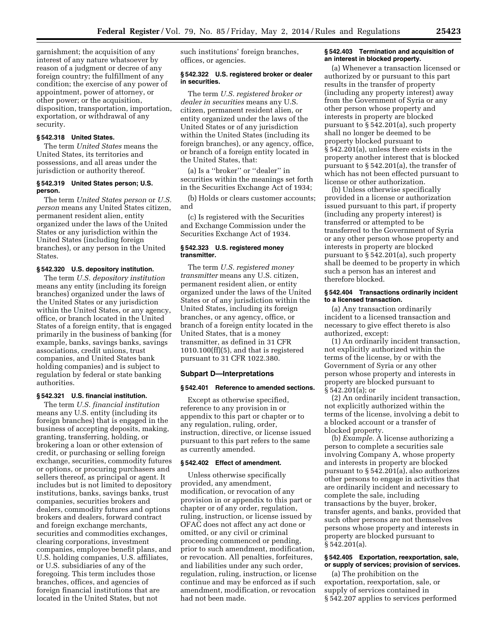garnishment; the acquisition of any interest of any nature whatsoever by reason of a judgment or decree of any foreign country; the fulfillment of any condition; the exercise of any power of appointment, power of attorney, or other power; or the acquisition, disposition, transportation, importation, exportation, or withdrawal of any security.

# **§ 542.318 United States.**

The term *United States* means the United States, its territories and possessions, and all areas under the jurisdiction or authority thereof.

#### **§ 542.319 United States person; U.S. person.**

The term *United States person* or *U.S. person* means any United States citizen, permanent resident alien, entity organized under the laws of the United States or any jurisdiction within the United States (including foreign branches), or any person in the United States.

#### **§ 542.320 U.S. depository institution.**

The term *U.S. depository institution*  means any entity (including its foreign branches) organized under the laws of the United States or any jurisdiction within the United States, or any agency, office, or branch located in the United States of a foreign entity, that is engaged primarily in the business of banking (for example, banks, savings banks, savings associations, credit unions, trust companies, and United States bank holding companies) and is subject to regulation by federal or state banking authorities.

#### **§ 542.321 U.S. financial institution.**

The term *U.S. financial institution*  means any U.S. entity (including its foreign branches) that is engaged in the business of accepting deposits, making, granting, transferring, holding, or brokering a loan or other extension of credit, or purchasing or selling foreign exchange, securities, commodity futures or options, or procuring purchasers and sellers thereof, as principal or agent. It includes but is not limited to depository institutions, banks, savings banks, trust companies, securities brokers and dealers, commodity futures and options brokers and dealers, forward contract and foreign exchange merchants, securities and commodities exchanges, clearing corporations, investment companies, employee benefit plans, and U.S. holding companies, U.S. affiliates, or U.S. subsidiaries of any of the foregoing. This term includes those branches, offices, and agencies of foreign financial institutions that are located in the United States, but not

such institutions' foreign branches, offices, or agencies.

# **§ 542.322 U.S. registered broker or dealer in securities.**

The term *U.S. registered broker or dealer in securities* means any U.S. citizen, permanent resident alien, or entity organized under the laws of the United States or of any jurisdiction within the United States (including its foreign branches), or any agency, office, or branch of a foreign entity located in the United States, that:

(a) Is a ''broker'' or ''dealer'' in securities within the meanings set forth in the Securities Exchange Act of 1934;

(b) Holds or clears customer accounts; and

(c) Is registered with the Securities and Exchange Commission under the Securities Exchange Act of 1934.

# **§ 542.323 U.S. registered money transmitter.**

The term *U.S. registered money transmitter* means any U.S. citizen, permanent resident alien, or entity organized under the laws of the United States or of any jurisdiction within the United States, including its foreign branches, or any agency, office, or branch of a foreign entity located in the United States, that is a money transmitter, as defined in 31 CFR 1010.100(ff)(5), and that is registered pursuant to 31 CFR 1022.380.

# **Subpart D—Interpretations**

# **§ 542.401 Reference to amended sections.**

Except as otherwise specified, reference to any provision in or appendix to this part or chapter or to any regulation, ruling, order, instruction, directive, or license issued pursuant to this part refers to the same as currently amended.

#### **§ 542.402 Effect of amendment.**

Unless otherwise specifically provided, any amendment, modification, or revocation of any provision in or appendix to this part or chapter or of any order, regulation, ruling, instruction, or license issued by OFAC does not affect any act done or omitted, or any civil or criminal proceeding commenced or pending, prior to such amendment, modification, or revocation. All penalties, forfeitures, and liabilities under any such order, regulation, ruling, instruction, or license continue and may be enforced as if such amendment, modification, or revocation had not been made.

#### **§ 542.403 Termination and acquisition of an interest in blocked property.**

(a) Whenever a transaction licensed or authorized by or pursuant to this part results in the transfer of property (including any property interest) away from the Government of Syria or any other person whose property and interests in property are blocked pursuant to § 542.201(a), such property shall no longer be deemed to be property blocked pursuant to § 542.201(a), unless there exists in the property another interest that is blocked pursuant to § 542.201(a), the transfer of which has not been effected pursuant to license or other authorization.

(b) Unless otherwise specifically provided in a license or authorization issued pursuant to this part, if property (including any property interest) is transferred or attempted to be transferred to the Government of Syria or any other person whose property and interests in property are blocked pursuant to § 542.201(a), such property shall be deemed to be property in which such a person has an interest and therefore blocked.

# **§ 542.404 Transactions ordinarily incident to a licensed transaction.**

(a) Any transaction ordinarily incident to a licensed transaction and necessary to give effect thereto is also authorized, except:

(1) An ordinarily incident transaction, not explicitly authorized within the terms of the license, by or with the Government of Syria or any other person whose property and interests in property are blocked pursuant to § 542.201(a); or

(2) An ordinarily incident transaction, not explicitly authorized within the terms of the license, involving a debit to a blocked account or a transfer of blocked property.

(b) *Example.* A license authorizing a person to complete a securities sale involving Company A, whose property and interests in property are blocked pursuant to § 542.201(a), also authorizes other persons to engage in activities that are ordinarily incident and necessary to complete the sale, including transactions by the buyer, broker, transfer agents, and banks, provided that such other persons are not themselves persons whose property and interests in property are blocked pursuant to § 542.201(a).

# **§ 542.405 Exportation, reexportation, sale, or supply of services; provision of services.**

(a) The prohibition on the exportation, reexportation, sale, or supply of services contained in § 542.207 applies to services performed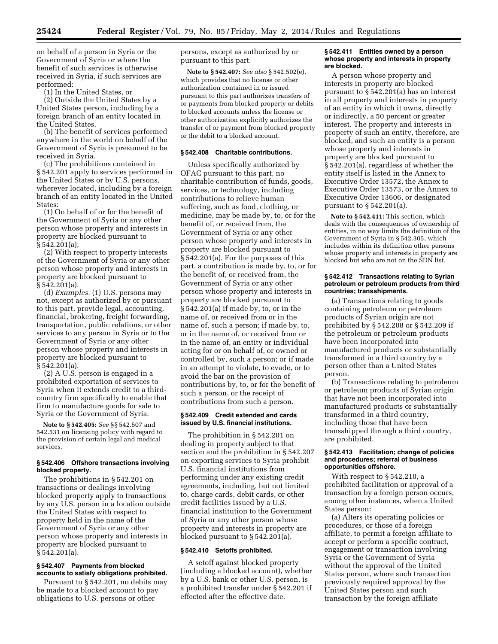on behalf of a person in Syria or the Government of Syria or where the benefit of such services is otherwise received in Syria, if such services are performed:

(1) In the United States, or

(2) Outside the United States by a United States person, including by a foreign branch of an entity located in the United States.

(b) The benefit of services performed anywhere in the world on behalf of the Government of Syria is presumed to be received in Syria.

(c) The prohibitions contained in § 542.201 apply to services performed in the United States or by U.S. persons, wherever located, including by a foreign branch of an entity located in the United States:

(1) On behalf of or for the benefit of the Government of Syria or any other person whose property and interests in property are blocked pursuant to § 542.201(a);

(2) With respect to property interests of the Government of Syria or any other person whose property and interests in property are blocked pursuant to § 542.201(a).

(d) *Examples.* (1) U.S. persons may not, except as authorized by or pursuant to this part, provide legal, accounting, financial, brokering, freight forwarding, transportation, public relations, or other services to any person in Syria or to the Government of Syria or any other person whose property and interests in property are blocked pursuant to § 542.201(a).

(2) A U.S. person is engaged in a prohibited exportation of services to Syria when it extends credit to a thirdcountry firm specifically to enable that firm to manufacture goods for sale to Syria or the Government of Syria.

**Note to § 542.405:** *See* §§ 542.507 and 542.531 on licensing policy with regard to the provision of certain legal and medical services.

#### **§ 542.406 Offshore transactions involving blocked property.**

The prohibitions in § 542.201 on transactions or dealings involving blocked property apply to transactions by any U.S. person in a location outside the United States with respect to property held in the name of the Government of Syria or any other person whose property and interests in property are blocked pursuant to § 542.201(a).

# **§ 542.407 Payments from blocked accounts to satisfy obligations prohibited.**

Pursuant to § 542.201, no debits may be made to a blocked account to pay obligations to U.S. persons or other

persons, except as authorized by or pursuant to this part.

**Note to § 542.407:** *See also* § 542.502(e), which provides that no license or other authorization contained in or issued pursuant to this part authorizes transfers of or payments from blocked property or debits to blocked accounts unless the license or other authorization explicitly authorizes the transfer of or payment from blocked property or the debit to a blocked account.

# **§ 542.408 Charitable contributions.**

Unless specifically authorized by OFAC pursuant to this part, no charitable contribution of funds, goods, services, or technology, including contributions to relieve human suffering, such as food, clothing, or medicine, may be made by, to, or for the benefit of, or received from, the Government of Syria or any other person whose property and interests in property are blocked pursuant to § 542.201(a). For the purposes of this part, a contribution is made by, to, or for the benefit of, or received from, the Government of Syria or any other person whose property and interests in property are blocked pursuant to § 542.201(a) if made by, to, or in the name of, or received from or in the name of, such a person; if made by, to, or in the name of, or received from or in the name of, an entity or individual acting for or on behalf of, or owned or controlled by, such a person; or if made in an attempt to violate, to evade, or to avoid the bar on the provision of contributions by, to, or for the benefit of such a person, or the receipt of contributions from such a person.

# **§ 542.409 Credit extended and cards issued by U.S. financial institutions.**

The prohibition in § 542.201 on dealing in property subject to that section and the prohibition in § 542.207 on exporting services to Syria prohibit U.S. financial institutions from performing under any existing credit agreements, including, but not limited to, charge cards, debit cards, or other credit facilities issued by a U.S. financial institution to the Government of Syria or any other person whose property and interests in property are blocked pursuant to § 542.201(a).

#### **§ 542.410 Setoffs prohibited.**

A setoff against blocked property (including a blocked account), whether by a U.S. bank or other U.S. person, is a prohibited transfer under § 542.201 if effected after the effective date.

# **§ 542.411 Entities owned by a person whose property and interests in property are blocked.**

A person whose property and interests in property are blocked pursuant to § 542.201(a) has an interest in all property and interests in property of an entity in which it owns, directly or indirectly, a 50 percent or greater interest. The property and interests in property of such an entity, therefore, are blocked, and such an entity is a person whose property and interests in property are blocked pursuant to § 542.201(a), regardless of whether the entity itself is listed in the Annex to Executive Order 13572, the Annex to Executive Order 13573, or the Annex to Executive Order 13606, or designated pursuant to § 542.201(a).

**Note to § 542.411:** This section, which deals with the consequences of ownership of entities, in no way limits the definition of the Government of Syria in § 542.305, which includes within its definition other persons whose property and interests in property are blocked but who are not on the SDN list.

#### **§ 542.412 Transactions relating to Syrian petroleum or petroleum products from third countries; transshipments.**

(a) Transactions relating to goods containing petroleum or petroleum products of Syrian origin are not prohibited by § 542.208 or § 542.209 if the petroleum or petroleum products have been incorporated into manufactured products or substantially transformed in a third country by a person other than a United States person.

(b) Transactions relating to petroleum or petroleum products of Syrian origin that have not been incorporated into manufactured products or substantially transformed in a third country, including those that have been transshipped through a third country, are prohibited.

#### **§ 542.413 Facilitation; change of policies and procedures; referral of business opportunities offshore.**

With respect to § 542.210, a prohibited facilitation or approval of a transaction by a foreign person occurs, among other instances, when a United States person:

(a) Alters its operating policies or procedures, or those of a foreign affiliate, to permit a foreign affiliate to accept or perform a specific contract, engagement or transaction involving Syria or the Government of Syria without the approval of the United States person, where such transaction previously required approval by the United States person and such transaction by the foreign affiliate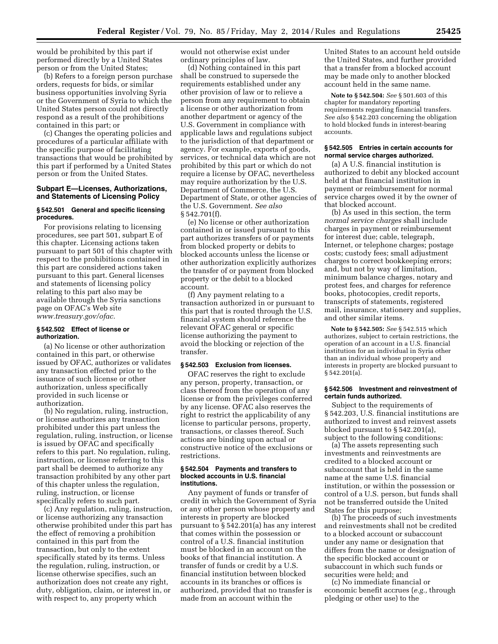would be prohibited by this part if performed directly by a United States person or from the United States;

(b) Refers to a foreign person purchase orders, requests for bids, or similar business opportunities involving Syria or the Government of Syria to which the United States person could not directly respond as a result of the prohibitions contained in this part; or

(c) Changes the operating policies and procedures of a particular affiliate with the specific purpose of facilitating transactions that would be prohibited by this part if performed by a United States person or from the United States.

# **Subpart E—Licenses, Authorizations, and Statements of Licensing Policy**

# **§ 542.501 General and specific licensing procedures.**

For provisions relating to licensing procedures, see part 501, subpart E of this chapter. Licensing actions taken pursuant to part 501 of this chapter with respect to the prohibitions contained in this part are considered actions taken pursuant to this part. General licenses and statements of licensing policy relating to this part also may be available through the Syria sanctions page on OFAC's Web site *[www.treasury.gov/ofac.](http://www.treasury.gov/ofac)* 

# **§ 542.502 Effect of license or authorization.**

(a) No license or other authorization contained in this part, or otherwise issued by OFAC, authorizes or validates any transaction effected prior to the issuance of such license or other authorization, unless specifically provided in such license or authorization.

(b) No regulation, ruling, instruction, or license authorizes any transaction prohibited under this part unless the regulation, ruling, instruction, or license is issued by OFAC and specifically refers to this part. No regulation, ruling, instruction, or license referring to this part shall be deemed to authorize any transaction prohibited by any other part of this chapter unless the regulation, ruling, instruction, or license specifically refers to such part.

(c) Any regulation, ruling, instruction, or license authorizing any transaction otherwise prohibited under this part has the effect of removing a prohibition contained in this part from the transaction, but only to the extent specifically stated by its terms. Unless the regulation, ruling, instruction, or license otherwise specifies, such an authorization does not create any right, duty, obligation, claim, or interest in, or with respect to, any property which

would not otherwise exist under ordinary principles of law.

(d) Nothing contained in this part shall be construed to supersede the requirements established under any other provision of law or to relieve a person from any requirement to obtain a license or other authorization from another department or agency of the U.S. Government in compliance with applicable laws and regulations subject to the jurisdiction of that department or agency. For example, exports of goods, services, or technical data which are not prohibited by this part or which do not require a license by OFAC, nevertheless may require authorization by the U.S. Department of Commerce, the U.S. Department of State, or other agencies of the U.S. Government. *See also*  § 542.701(f).

(e) No license or other authorization contained in or issued pursuant to this part authorizes transfers of or payments from blocked property or debits to blocked accounts unless the license or other authorization explicitly authorizes the transfer of or payment from blocked property or the debit to a blocked account.

(f) Any payment relating to a transaction authorized in or pursuant to this part that is routed through the U.S. financial system should reference the relevant OFAC general or specific license authorizing the payment to avoid the blocking or rejection of the transfer.

# **§ 542.503 Exclusion from licenses.**

OFAC reserves the right to exclude any person, property, transaction, or class thereof from the operation of any license or from the privileges conferred by any license. OFAC also reserves the right to restrict the applicability of any license to particular persons, property, transactions, or classes thereof. Such actions are binding upon actual or constructive notice of the exclusions or restrictions.

#### **§ 542.504 Payments and transfers to blocked accounts in U.S. financial institutions.**

Any payment of funds or transfer of credit in which the Government of Syria or any other person whose property and interests in property are blocked pursuant to § 542.201(a) has any interest that comes within the possession or control of a U.S. financial institution must be blocked in an account on the books of that financial institution. A transfer of funds or credit by a U.S. financial institution between blocked accounts in its branches or offices is authorized, provided that no transfer is made from an account within the

United States to an account held outside the United States, and further provided that a transfer from a blocked account may be made only to another blocked account held in the same name.

**Note to § 542.504:** *See* § 501.603 of this chapter for mandatory reporting requirements regarding financial transfers. *See also* § 542.203 concerning the obligation to hold blocked funds in interest-bearing accounts.

#### **§ 542.505 Entries in certain accounts for normal service charges authorized.**

(a) A U.S. financial institution is authorized to debit any blocked account held at that financial institution in payment or reimbursement for normal service charges owed it by the owner of that blocked account.

(b) As used in this section, the term *normal service charges* shall include charges in payment or reimbursement for interest due; cable, telegraph, Internet, or telephone charges; postage costs; custody fees; small adjustment charges to correct bookkeeping errors; and, but not by way of limitation, minimum balance charges, notary and protest fees, and charges for reference books, photocopies, credit reports, transcripts of statements, registered mail, insurance, stationery and supplies, and other similar items.

**Note to § 542.505:** *See* § 542.515 which authorizes, subject to certain restrictions, the operation of an account in a U.S. financial institution for an individual in Syria other than an individual whose property and interests in property are blocked pursuant to § 542.201(a).

# **§ 542.506 Investment and reinvestment of certain funds authorized.**

Subject to the requirements of § 542.203, U.S. financial institutions are authorized to invest and reinvest assets blocked pursuant to § 542.201(a), subject to the following conditions:

(a) The assets representing such investments and reinvestments are credited to a blocked account or subaccount that is held in the same name at the same U.S. financial institution, or within the possession or control of a U.S. person, but funds shall not be transferred outside the United States for this purpose;

(b) The proceeds of such investments and reinvestments shall not be credited to a blocked account or subaccount under any name or designation that differs from the name or designation of the specific blocked account or subaccount in which such funds or securities were held; and

(c) No immediate financial or economic benefit accrues (*e.g.,* through pledging or other use) to the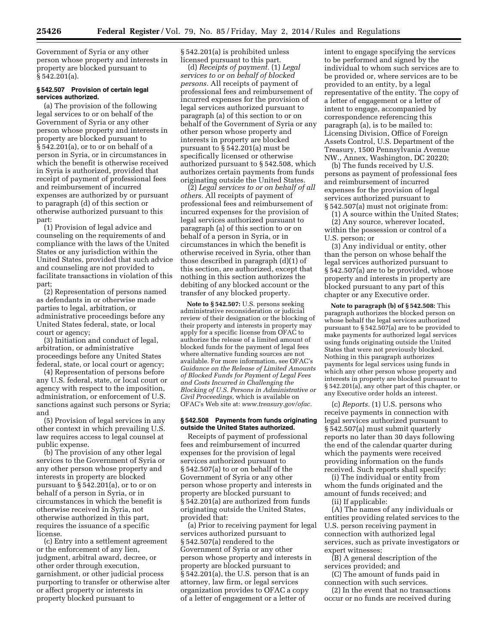Government of Syria or any other person whose property and interests in property are blocked pursuant to § 542.201(a).

# **§ 542.507 Provision of certain legal services authorized.**

(a) The provision of the following legal services to or on behalf of the Government of Syria or any other person whose property and interests in property are blocked pursuant to § 542.201(a), or to or on behalf of a person in Syria, or in circumstances in which the benefit is otherwise received in Syria is authorized, provided that receipt of payment of professional fees and reimbursement of incurred expenses are authorized by or pursuant to paragraph (d) of this section or otherwise authorized pursuant to this part:

(1) Provision of legal advice and counseling on the requirements of and compliance with the laws of the United States or any jurisdiction within the United States, provided that such advice and counseling are not provided to facilitate transactions in violation of this part;

(2) Representation of persons named as defendants in or otherwise made parties to legal, arbitration, or administrative proceedings before any United States federal, state, or local court or agency;

(3) Initiation and conduct of legal, arbitration, or administrative proceedings before any United States federal, state, or local court or agency;

(4) Representation of persons before any U.S. federal, state, or local court or agency with respect to the imposition, administration, or enforcement of U.S. sanctions against such persons or Syria; and

(5) Provision of legal services in any other context in which prevailing U.S. law requires access to legal counsel at public expense.

(b) The provision of any other legal services to the Government of Syria or any other person whose property and interests in property are blocked pursuant to § 542.201(a), or to or on behalf of a person in Syria, or in circumstances in which the benefit is otherwise received in Syria, not otherwise authorized in this part, requires the issuance of a specific license.

(c) Entry into a settlement agreement or the enforcement of any lien, judgment, arbitral award, decree, or other order through execution, garnishment, or other judicial process purporting to transfer or otherwise alter or affect property or interests in property blocked pursuant to

§ 542.201(a) is prohibited unless licensed pursuant to this part.

(d) *Receipts of payment.* (1) *Legal services to or on behalf of blocked persons.* All receipts of payment of professional fees and reimbursement of incurred expenses for the provision of legal services authorized pursuant to paragraph (a) of this section to or on behalf of the Government of Syria or any other person whose property and interests in property are blocked pursuant to § 542.201(a) must be specifically licensed or otherwise authorized pursuant to § 542.508, which authorizes certain payments from funds originating outside the United States.

(2) *Legal services to or on behalf of all others.* All receipts of payment of professional fees and reimbursement of incurred expenses for the provision of legal services authorized pursuant to paragraph (a) of this section to or on behalf of a person in Syria, or in circumstances in which the benefit is otherwise received in Syria, other than those described in paragraph (d)(1) of this section, are authorized, except that nothing in this section authorizes the debiting of any blocked account or the transfer of any blocked property.

**Note to § 542.507:** U.S. persons seeking administrative reconsideration or judicial review of their designation or the blocking of their property and interests in property may apply for a specific license from OFAC to authorize the release of a limited amount of blocked funds for the payment of legal fees where alternative funding sources are not available. For more information, see OFAC's *Guidance on the Release of Limited Amounts of Blocked Funds for Payment of Legal Fees and Costs Incurred in Challenging the Blocking of U.S. Persons in Administrative or Civil Proceedings,* which is available on OFAC's Web site at: *[www.treasury.gov/ofac.](http://www.treasury.gov/ofac)* 

# **§ 542.508 Payments from funds originating outside the United States authorized.**

Receipts of payment of professional fees and reimbursement of incurred expenses for the provision of legal services authorized pursuant to § 542.507(a) to or on behalf of the Government of Syria or any other person whose property and interests in property are blocked pursuant to § 542.201(a) are authorized from funds originating outside the United States, provided that:

(a) Prior to receiving payment for legal services authorized pursuant to § 542.507(a) rendered to the Government of Syria or any other person whose property and interests in property are blocked pursuant to § 542.201(a), the U.S. person that is an attorney, law firm, or legal services organization provides to OFAC a copy of a letter of engagement or a letter of

intent to engage specifying the services to be performed and signed by the individual to whom such services are to be provided or, where services are to be provided to an entity, by a legal representative of the entity. The copy of a letter of engagement or a letter of intent to engage, accompanied by correspondence referencing this paragraph (a), is to be mailed to: Licensing Division, Office of Foreign Assets Control, U.S. Department of the Treasury, 1500 Pennsylvania Avenue NW., Annex, Washington, DC 20220;

(b) The funds received by U.S. persons as payment of professional fees and reimbursement of incurred expenses for the provision of legal services authorized pursuant to § 542.507(a) must not originate from:

(1) A source within the United States;

(2) Any source, wherever located, within the possession or control of a U.S. person; or

(3) Any individual or entity, other than the person on whose behalf the legal services authorized pursuant to § 542.507(a) are to be provided, whose property and interests in property are blocked pursuant to any part of this chapter or any Executive order.

**Note to paragraph (b) of § 542.508:** This paragraph authorizes the blocked person on whose behalf the legal services authorized pursuant to § 542.507(a) are to be provided to make payments for authorized legal services using funds originating outside the United States that were not previously blocked. Nothing in this paragraph authorizes payments for legal services using funds in which any other person whose property and interests in property are blocked pursuant to § 542.201(a), any other part of this chapter, or any Executive order holds an interest.

(c) *Reports.* (1) U.S. persons who receive payments in connection with legal services authorized pursuant to § 542.507(a) must submit quarterly reports no later than 30 days following the end of the calendar quarter during which the payments were received providing information on the funds received. Such reports shall specify:

(i) The individual or entity from whom the funds originated and the amount of funds received; and

(ii) If applicable:

(A) The names of any individuals or entities providing related services to the U.S. person receiving payment in connection with authorized legal services, such as private investigators or expert witnesses;

(B) A general description of the services provided; and

(C) The amount of funds paid in connection with such services.

(2) In the event that no transactions occur or no funds are received during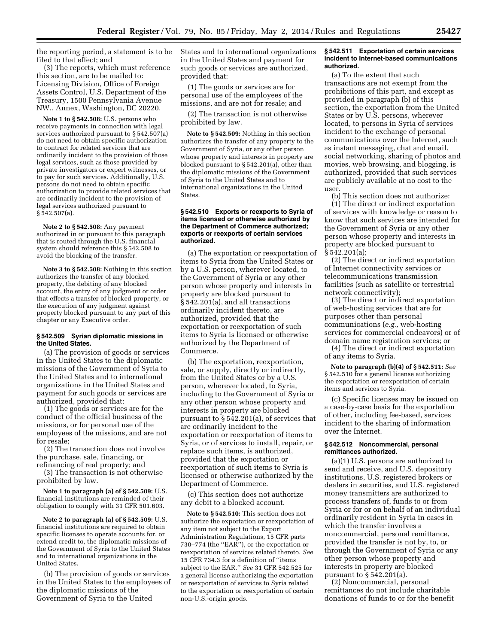the reporting period, a statement is to be filed to that effect; and

(3) The reports, which must reference this section, are to be mailed to: Licensing Division, Office of Foreign Assets Control, U.S. Department of the Treasury, 1500 Pennsylvania Avenue NW., Annex, Washington, DC 20220.

**Note 1 to § 542.508:** U.S. persons who receive payments in connection with legal services authorized pursuant to § 542.507(a) do not need to obtain specific authorization to contract for related services that are ordinarily incident to the provision of those legal services, such as those provided by private investigators or expert witnesses, or to pay for such services. Additionally, U.S. persons do not need to obtain specific authorization to provide related services that are ordinarily incident to the provision of legal services authorized pursuant to § 542.507(a).

**Note 2 to § 542.508:** Any payment authorized in or pursuant to this paragraph that is routed through the U.S. financial system should reference this § 542.508 to avoid the blocking of the transfer.

**Note 3 to § 542.508:** Nothing in this section authorizes the transfer of any blocked property, the debiting of any blocked account, the entry of any judgment or order that effects a transfer of blocked property, or the execution of any judgment against property blocked pursuant to any part of this chapter or any Executive order.

#### **§ 542.509 Syrian diplomatic missions in the United States.**

(a) The provision of goods or services in the United States to the diplomatic missions of the Government of Syria to the United States and to international organizations in the United States and payment for such goods or services are authorized, provided that:

(1) The goods or services are for the conduct of the official business of the missions, or for personal use of the employees of the missions, and are not for resale;

(2) The transaction does not involve the purchase, sale, financing, or refinancing of real property; and

(3) The transaction is not otherwise prohibited by law.

**Note 1 to paragraph (a) of § 542.509:** U.S. financial institutions are reminded of their obligation to comply with 31 CFR 501.603.

**Note 2 to paragraph (a) of § 542.509:** U.S. financial institutions are required to obtain specific licenses to operate accounts for, or extend credit to, the diplomatic missions of the Government of Syria to the United States and to international organizations in the United States.

(b) The provision of goods or services in the United States to the employees of the diplomatic missions of the Government of Syria to the United

States and to international organizations in the United States and payment for such goods or services are authorized, provided that:

(1) The goods or services are for personal use of the employees of the missions, and are not for resale; and

(2) The transaction is not otherwise prohibited by law.

**Note to § 542.509:** Nothing in this section authorizes the transfer of any property to the Government of Syria, or any other person whose property and interests in property are blocked pursuant to § 542.201(a), other than the diplomatic missions of the Government of Syria to the United States and to international organizations in the United States.

#### **§ 542.510 Exports or reexports to Syria of items licensed or otherwise authorized by the Department of Commerce authorized; exports or reexports of certain services authorized.**

(a) The exportation or reexportation of items to Syria from the United States or by a U.S. person, wherever located, to the Government of Syria or any other person whose property and interests in property are blocked pursuant to § 542.201(a), and all transactions ordinarily incident thereto, are authorized, provided that the exportation or reexportation of such items to Syria is licensed or otherwise authorized by the Department of Commerce.

(b) The exportation, reexportation, sale, or supply, directly or indirectly, from the United States or by a U.S. person, wherever located, to Syria, including to the Government of Syria or any other person whose property and interests in property are blocked pursuant to § 542.201(a), of services that are ordinarily incident to the exportation or reexportation of items to Syria, or of services to install, repair, or replace such items, is authorized, provided that the exportation or reexportation of such items to Syria is licensed or otherwise authorized by the Department of Commerce.

(c) This section does not authorize any debit to a blocked account.

**Note to § 542.510:** This section does not authorize the exportation or reexportation of any item not subject to the Export Administration Regulations, 15 CFR parts 730–774 (the ''EAR''), or the exportation or reexportation of services related thereto. *See*  15 CFR 734.3 for a definition of ''items subject to the EAR.'' *See* 31 CFR 542.525 for a general license authorizing the exportation or reexportation of services to Syria related to the exportation or reexportation of certain non-U.S.-origin goods.

# **§ 542.511 Exportation of certain services incident to Internet-based communications authorized.**

(a) To the extent that such transactions are not exempt from the prohibitions of this part, and except as provided in paragraph (b) of this section, the exportation from the United States or by U.S. persons, wherever located, to persons in Syria of services incident to the exchange of personal communications over the Internet, such as instant messaging, chat and email, social networking, sharing of photos and movies, web browsing, and blogging, is authorized, provided that such services are publicly available at no cost to the user.

(b) This section does not authorize:

(1) The direct or indirect exportation of services with knowledge or reason to know that such services are intended for the Government of Syria or any other person whose property and interests in property are blocked pursuant to § 542.201(a);

(2) The direct or indirect exportation of Internet connectivity services or telecommunications transmission facilities (such as satellite or terrestrial network connectivity);

(3) The direct or indirect exportation of web-hosting services that are for purposes other than personal communications (*e.g.,* web-hosting services for commercial endeavors) or of domain name registration services; or

(4) The direct or indirect exportation of any items to Syria.

**Note to paragraph (b)(4) of § 542.511:** *See*  § 542.510 for a general license authorizing the exportation or reexportation of certain items and services to Syria.

(c) Specific licenses may be issued on a case-by-case basis for the exportation of other, including fee-based, services incident to the sharing of information over the Internet.

# **§ 542.512 Noncommercial, personal remittances authorized.**

(a)(1) U.S. persons are authorized to send and receive, and U.S. depository institutions, U.S. registered brokers or dealers in securities, and U.S. registered money transmitters are authorized to process transfers of, funds to or from Syria or for or on behalf of an individual ordinarily resident in Syria in cases in which the transfer involves a noncommercial, personal remittance, provided the transfer is not by, to, or through the Government of Syria or any other person whose property and interests in property are blocked pursuant to § 542.201(a).

(2) Noncommercial, personal remittances do not include charitable donations of funds to or for the benefit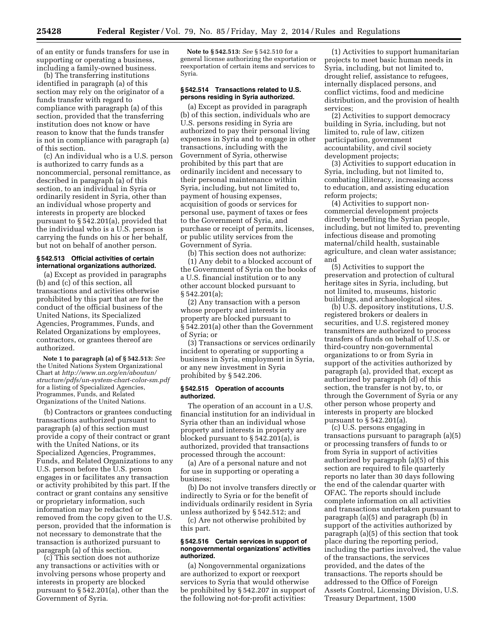of an entity or funds transfers for use in supporting or operating a business, including a family-owned business.

(b) The transferring institutions identified in paragraph (a) of this section may rely on the originator of a funds transfer with regard to compliance with paragraph (a) of this section, provided that the transferring institution does not know or have reason to know that the funds transfer is not in compliance with paragraph (a) of this section.

(c) An individual who is a U.S. person is authorized to carry funds as a noncommercial, personal remittance, as described in paragraph (a) of this section, to an individual in Syria or ordinarily resident in Syria, other than an individual whose property and interests in property are blocked pursuant to § 542.201(a), provided that the individual who is a U.S. person is carrying the funds on his or her behalf, but not on behalf of another person.

# **§ 542.513 Official activities of certain international organizations authorized.**

(a) Except as provided in paragraphs (b) and (c) of this section, all transactions and activities otherwise prohibited by this part that are for the conduct of the official business of the United Nations, its Specialized Agencies, Programmes, Funds, and Related Organizations by employees, contractors, or grantees thereof are authorized.

**Note 1 to paragraph (a) of § 542.513:** *See*  the United Nations System Organizational Chart at *[http://www.un.org/en/aboutun/](http://www.un.org/en/aboutun/structure/pdfs/un-system-chart-color-sm.pdf) [structure/pdfs/un-system-chart-color-sm.pdf](http://www.un.org/en/aboutun/structure/pdfs/un-system-chart-color-sm.pdf)*  for a listing of Specialized Agencies, Programmes, Funds, and Related Organizations of the United Nations.

(b) Contractors or grantees conducting transactions authorized pursuant to paragraph (a) of this section must provide a copy of their contract or grant with the United Nations, or its Specialized Agencies, Programmes, Funds, and Related Organizations to any U.S. person before the U.S. person engages in or facilitates any transaction or activity prohibited by this part. If the contract or grant contains any sensitive or proprietary information, such information may be redacted or removed from the copy given to the U.S. person, provided that the information is not necessary to demonstrate that the transaction is authorized pursuant to paragraph (a) of this section.

(c) This section does not authorize any transactions or activities with or involving persons whose property and interests in property are blocked pursuant to § 542.201(a), other than the Government of Syria.

**Note to § 542.513:** *See* § 542.510 for a general license authorizing the exportation or reexportation of certain items and services to Syria.

# **§ 542.514 Transactions related to U.S. persons residing in Syria authorized.**

(a) Except as provided in paragraph (b) of this section, individuals who are U.S. persons residing in Syria are authorized to pay their personal living expenses in Syria and to engage in other transactions, including with the Government of Syria, otherwise prohibited by this part that are ordinarily incident and necessary to their personal maintenance within Syria, including, but not limited to, payment of housing expenses, acquisition of goods or services for personal use, payment of taxes or fees to the Government of Syria, and purchase or receipt of permits, licenses, or public utility services from the Government of Syria.

(b) This section does not authorize: (1) Any debit to a blocked account of the Government of Syria on the books of a U.S. financial institution or to any other account blocked pursuant to § 542.201(a);

(2) Any transaction with a person whose property and interests in property are blocked pursuant to § 542.201(a) other than the Government of Syria; or

(3) Transactions or services ordinarily incident to operating or supporting a business in Syria, employment in Syria, or any new investment in Syria prohibited by § 542.206.

#### **§ 542.515 Operation of accounts authorized.**

The operation of an account in a U.S. financial institution for an individual in Syria other than an individual whose property and interests in property are blocked pursuant to § 542.201(a), is authorized, provided that transactions processed through the account:

(a) Are of a personal nature and not for use in supporting or operating a business;

(b) Do not involve transfers directly or indirectly to Syria or for the benefit of individuals ordinarily resident in Syria unless authorized by § 542.512; and

(c) Are not otherwise prohibited by this part.

#### **§ 542.516 Certain services in support of nongovernmental organizations' activities authorized.**

(a) Nongovernmental organizations are authorized to export or reexport services to Syria that would otherwise be prohibited by § 542.207 in support of the following not-for-profit activities:

(1) Activities to support humanitarian projects to meet basic human needs in Syria, including, but not limited to, drought relief, assistance to refugees, internally displaced persons, and conflict victims, food and medicine distribution, and the provision of health services;

(2) Activities to support democracy building in Syria, including, but not limited to, rule of law, citizen participation, government accountability, and civil society development projects;

(3) Activities to support education in Syria, including, but not limited to, combating illiteracy, increasing access to education, and assisting education reform projects;

(4) Activities to support noncommercial development projects directly benefiting the Syrian people, including, but not limited to, preventing infectious disease and promoting maternal/child health, sustainable agriculture, and clean water assistance; and

(5) Activities to support the preservation and protection of cultural heritage sites in Syria, including, but not limited to, museums, historic buildings, and archaeological sites.

(b) U.S. depository institutions, U.S. registered brokers or dealers in securities, and U.S. registered money transmitters are authorized to process transfers of funds on behalf of U.S. or third-country non-governmental organizations to or from Syria in support of the activities authorized by paragraph (a), provided that, except as authorized by paragraph (d) of this section, the transfer is not by, to, or through the Government of Syria or any other person whose property and interests in property are blocked pursuant to § 542.201(a).

(c) U.S. persons engaging in transactions pursuant to paragraph (a)(5) or processing transfers of funds to or from Syria in support of activities authorized by paragraph (a)(5) of this section are required to file quarterly reports no later than 30 days following the end of the calendar quarter with OFAC. The reports should include complete information on all activities and transactions undertaken pursuant to paragraph (a)(5) and paragraph (b) in support of the activities authorized by paragraph (a)(5) of this section that took place during the reporting period, including the parties involved, the value of the transactions, the services provided, and the dates of the transactions. The reports should be addressed to the Office of Foreign Assets Control, Licensing Division, U.S. Treasury Department, 1500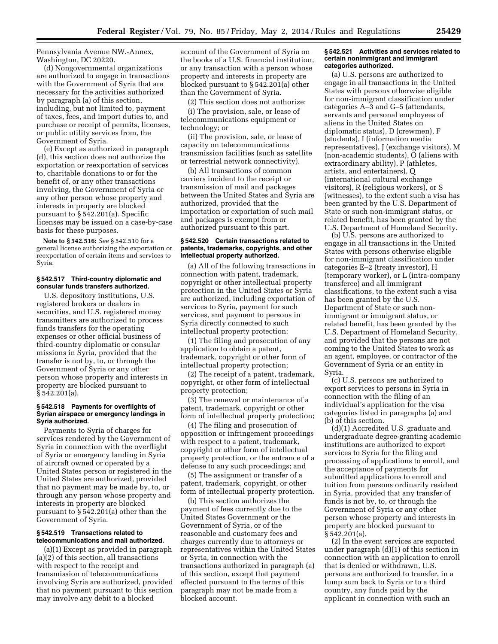Pennsylvania Avenue NW.-Annex, Washington, DC 20220.

(d) Nongovernmental organizations are authorized to engage in transactions with the Government of Syria that are necessary for the activities authorized by paragraph (a) of this section, including, but not limited to, payment of taxes, fees, and import duties to, and purchase or receipt of permits, licenses, or public utility services from, the Government of Syria.

(e) Except as authorized in paragraph (d), this section does not authorize the exportation or reexportation of services to, charitable donations to or for the benefit of, or any other transactions involving, the Government of Syria or any other person whose property and interests in property are blocked pursuant to § 542.201(a). Specific licenses may be issued on a case-by-case basis for these purposes.

**Note to § 542.516:** *See* § 542.510 for a general license authorizing the exportation or reexportation of certain items and services to Syria.

#### **§ 542.517 Third-country diplomatic and consular funds transfers authorized.**

U.S. depository institutions, U.S. registered brokers or dealers in securities, and U.S. registered money transmitters are authorized to process funds transfers for the operating expenses or other official business of third-country diplomatic or consular missions in Syria, provided that the transfer is not by, to, or through the Government of Syria or any other person whose property and interests in property are blocked pursuant to § 542.201(a).

#### **§ 542.518 Payments for overflights of Syrian airspace or emergency landings in Syria authorized.**

Payments to Syria of charges for services rendered by the Government of Syria in connection with the overflight of Syria or emergency landing in Syria of aircraft owned or operated by a United States person or registered in the United States are authorized, provided that no payment may be made by, to, or through any person whose property and interests in property are blocked pursuant to § 542.201(a) other than the Government of Syria.

# **§ 542.519 Transactions related to telecommunications and mail authorized.**

(a)(1) Except as provided in paragraph (a)(2) of this section, all transactions with respect to the receipt and transmission of telecommunications involving Syria are authorized, provided that no payment pursuant to this section may involve any debit to a blocked

account of the Government of Syria on the books of a U.S. financial institution, or any transaction with a person whose property and interests in property are blocked pursuant to § 542.201(a) other than the Government of Syria.

(2) This section does not authorize:

(i) The provision, sale, or lease of telecommunications equipment or technology; or

(ii) The provision, sale, or lease of capacity on telecommunications transmission facilities (such as satellite or terrestrial network connectivity).

(b) All transactions of common carriers incident to the receipt or transmission of mail and packages between the United States and Syria are authorized, provided that the importation or exportation of such mail and packages is exempt from or authorized pursuant to this part.

#### **§ 542.520 Certain transactions related to patents, trademarks, copyrights, and other intellectual property authorized.**

(a) All of the following transactions in connection with patent, trademark, copyright or other intellectual property protection in the United States or Syria are authorized, including exportation of services to Syria, payment for such services, and payment to persons in Syria directly connected to such intellectual property protection:

(1) The filing and prosecution of any application to obtain a patent, trademark, copyright or other form of intellectual property protection;

(2) The receipt of a patent, trademark, copyright, or other form of intellectual property protection;

(3) The renewal or maintenance of a patent, trademark, copyright or other form of intellectual property protection;

(4) The filing and prosecution of opposition or infringement proceedings with respect to a patent, trademark, copyright or other form of intellectual property protection, or the entrance of a defense to any such proceedings; and

(5) The assignment or transfer of a patent, trademark, copyright, or other form of intellectual property protection.

(b) This section authorizes the payment of fees currently due to the United States Government or the Government of Syria, or of the reasonable and customary fees and charges currently due to attorneys or representatives within the United States or Syria, in connection with the transactions authorized in paragraph (a) of this section, except that payment effected pursuant to the terms of this paragraph may not be made from a blocked account.

# **§ 542.521 Activities and services related to certain nonimmigrant and immigrant categories authorized.**

(a) U.S. persons are authorized to engage in all transactions in the United States with persons otherwise eligible for non-immigrant classification under categories A–3 and G–5 (attendants, servants and personal employees of aliens in the United States on diplomatic status), D (crewmen), F (students), I (information media representatives), J (exchange visitors), M (non-academic students), O (aliens with extraordinary ability), P (athletes, artists, and entertainers), Q (international cultural exchange visitors), R (religious workers), or S (witnesses), to the extent such a visa has been granted by the U.S. Department of State or such non-immigrant status, or related benefit, has been granted by the U.S. Department of Homeland Security.

(b) U.S. persons are authorized to engage in all transactions in the United States with persons otherwise eligible for non-immigrant classification under categories E–2 (treaty investor), H (temporary worker), or L (intra-company transferee) and all immigrant classifications, to the extent such a visa has been granted by the U.S. Department of State or such nonimmigrant or immigrant status, or related benefit, has been granted by the U.S. Department of Homeland Security, and provided that the persons are not coming to the United States to work as an agent, employee, or contractor of the Government of Syria or an entity in Syria.

(c) U.S. persons are authorized to export services to persons in Syria in connection with the filing of an individual's application for the visa categories listed in paragraphs (a) and (b) of this section.

(d)(1) Accredited U.S. graduate and undergraduate degree-granting academic institutions are authorized to export services to Syria for the filing and processing of applications to enroll, and the acceptance of payments for submitted applications to enroll and tuition from persons ordinarily resident in Syria, provided that any transfer of funds is not by, to, or through the Government of Syria or any other person whose property and interests in property are blocked pursuant to § 542.201(a).

(2) In the event services are exported under paragraph (d)(1) of this section in connection with an application to enroll that is denied or withdrawn, U.S. persons are authorized to transfer, in a lump sum back to Syria or to a third country, any funds paid by the applicant in connection with such an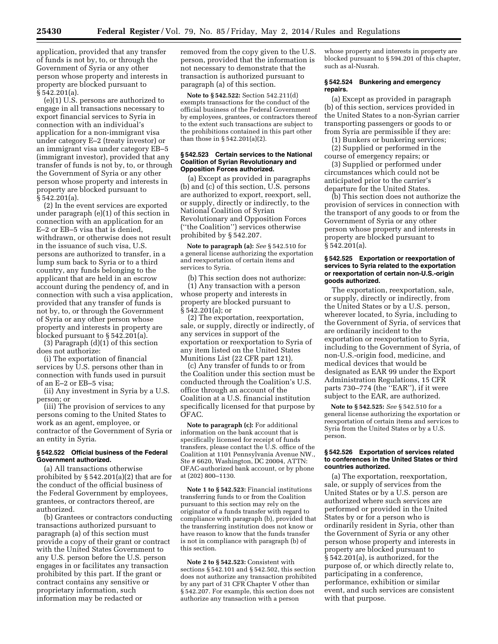application, provided that any transfer of funds is not by, to, or through the Government of Syria or any other person whose property and interests in property are blocked pursuant to § 542.201(a).

(e)(1) U.S. persons are authorized to engage in all transactions necessary to export financial services to Syria in connection with an individual's application for a non-immigrant visa under category E–2 (treaty investor) or an immigrant visa under category EB–5 (immigrant investor), provided that any transfer of funds is not by, to, or through the Government of Syria or any other person whose property and interests in property are blocked pursuant to  $§ 542.201(a).$ 

(2) In the event services are exported under paragraph (e)(1) of this section in connection with an application for an E–2 or EB–5 visa that is denied, withdrawn, or otherwise does not result in the issuance of such visa, U.S. persons are authorized to transfer, in a lump sum back to Syria or to a third country, any funds belonging to the applicant that are held in an escrow account during the pendency of, and in connection with such a visa application, provided that any transfer of funds is not by, to, or through the Government of Syria or any other person whose property and interests in property are blocked pursuant to § 542.201(a).

(3) Paragraph (d)(1) of this section does not authorize:

(i) The exportation of financial services by U.S. persons other than in connection with funds used in pursuit of an E–2 or EB–5 visa;

(ii) Any investment in Syria by a U.S. person; or

(iii) The provision of services to any persons coming to the United States to work as an agent, employee, or contractor of the Government of Syria or an entity in Syria.

#### **§ 542.522 Official business of the Federal Government authorized.**

(a) All transactions otherwise prohibited by § 542.201(a)(2) that are for the conduct of the official business of the Federal Government by employees, grantees, or contractors thereof, are authorized.

(b) Grantees or contractors conducting transactions authorized pursuant to paragraph (a) of this section must provide a copy of their grant or contract with the United States Government to any U.S. person before the U.S. person engages in or facilitates any transaction prohibited by this part. If the grant or contract contains any sensitive or proprietary information, such information may be redacted or

removed from the copy given to the U.S. person, provided that the information is not necessary to demonstrate that the transaction is authorized pursuant to paragraph (a) of this section.

**Note to § 542.522:** Section 542.211(d) exempts transactions for the conduct of the official business of the Federal Government by employees, grantees, or contractors thereof to the extent such transactions are subject to the prohibitions contained in this part other than those in § 542.201(a)(2).

# **§ 542.523 Certain services to the National Coalition of Syrian Revolutionary and Opposition Forces authorized.**

(a) Except as provided in paragraphs (b) and (c) of this section, U.S. persons are authorized to export, reexport, sell, or supply, directly or indirectly, to the National Coalition of Syrian Revolutionary and Opposition Forces (''the Coalition'') services otherwise prohibited by § 542.207.

**Note to paragraph (a):** *See* § 542.510 for a general license authorizing the exportation and reexportation of certain items and services to Syria.

(b) This section does not authorize: (1) Any transaction with a person whose property and interests in property are blocked pursuant to § 542.201(a); or

(2) The exportation, reexportation, sale, or supply, directly or indirectly, of any services in support of the exportation or reexportation to Syria of any item listed on the United States Munitions List (22 CFR part 121).

(c) Any transfer of funds to or from the Coalition under this section must be conducted through the Coalition's U.S. office through an account of the Coalition at a U.S. financial institution specifically licensed for that purpose by OFAC.

**Note to paragraph (c):** For additional information on the bank account that is specifically licensed for receipt of funds transfers, please contact the U.S. office of the Coalition at 1101 Pennsylvania Avenue NW., Ste # 6620, Washington, DC 20004, ATTN: OFAC-authorized bank account, or by phone at (202) 800–1130.

**Note 1 to § 542.523:** Financial institutions transferring funds to or from the Coalition pursuant to this section may rely on the originator of a funds transfer with regard to compliance with paragraph (b), provided that the transferring institution does not know or have reason to know that the funds transfer is not in compliance with paragraph (b) of this section.

**Note 2 to § 542.523:** Consistent with sections § 542.101 and § 542.502, this section does not authorize any transaction prohibited by any part of 31 CFR Chapter V other than § 542.207. For example, this section does not authorize any transaction with a person

whose property and interests in property are blocked pursuant to § 594.201 of this chapter, such as al-Nusrah.

# **§ 542.524 Bunkering and emergency repairs.**

(a) Except as provided in paragraph (b) of this section, services provided in the United States to a non-Syrian carrier transporting passengers or goods to or from Syria are permissible if they are:

(1) Bunkers or bunkering services; (2) Supplied or performed in the

course of emergency repairs; or

(3) Supplied or performed under circumstances which could not be anticipated prior to the carrier's departure for the United States.

(b) This section does not authorize the provision of services in connection with the transport of any goods to or from the Government of Syria or any other person whose property and interests in property are blocked pursuant to § 542.201(a).

# **§ 542.525 Exportation or reexportation of services to Syria related to the exportation or reexportation of certain non-U.S.-origin goods authorized.**

The exportation, reexportation, sale, or supply, directly or indirectly, from the United States or by a U.S. person, wherever located, to Syria, including to the Government of Syria, of services that are ordinarily incident to the exportation or reexportation to Syria, including to the Government of Syria, of non-U.S.-origin food, medicine, and medical devices that would be designated as EAR 99 under the Export Administration Regulations, 15 CFR parts 730–774 (the ''EAR''), if it were subject to the EAR, are authorized.

**Note to § 542.525:** *See* § 542.510 for a general license authorizing the exportation or reexportation of certain items and services to Syria from the United States or by a U.S. person.

#### **§ 542.526 Exportation of services related to conferences in the United States or third countries authorized.**

(a) The exportation, reexportation, sale, or supply of services from the United States or by a U.S. person are authorized where such services are performed or provided in the United States by or for a person who is ordinarily resident in Syria, other than the Government of Syria or any other person whose property and interests in property are blocked pursuant to § 542.201(a), is authorized, for the purpose of, or which directly relate to, participating in a conference, performance, exhibition or similar event, and such services are consistent with that purpose.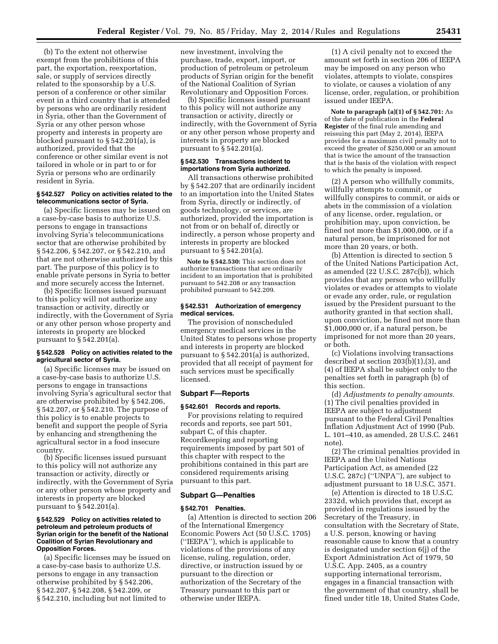(b) To the extent not otherwise exempt from the prohibitions of this part, the exportation, reexportation, sale, or supply of services directly related to the sponsorship by a U.S. person of a conference or other similar event in a third country that is attended by persons who are ordinarily resident in Syria, other than the Government of Syria or any other person whose property and interests in property are blocked pursuant to § 542.201(a), is authorized, provided that the conference or other similar event is not tailored in whole or in part to or for Syria or persons who are ordinarily resident in Syria.

# **§ 542.527 Policy on activities related to the telecommunications sector of Syria.**

(a) Specific licenses may be issued on a case-by-case basis to authorize U.S. persons to engage in transactions involving Syria's telecommunications sector that are otherwise prohibited by § 542.206, § 542.207, or § 542.210, and that are not otherwise authorized by this part. The purpose of this policy is to enable private persons in Syria to better and more securely access the Internet.

(b) Specific licenses issued pursuant to this policy will not authorize any transaction or activity, directly or indirectly, with the Government of Syria or any other person whose property and interests in property are blocked pursuant to § 542.201(a).

# **§ 542.528 Policy on activities related to the agricultural sector of Syria.**

(a) Specific licenses may be issued on a case-by-case basis to authorize U.S. persons to engage in transactions involving Syria's agricultural sector that are otherwise prohibited by § 542.206, § 542.207, or § 542.210. The purpose of this policy is to enable projects to benefit and support the people of Syria by enhancing and strengthening the agricultural sector in a food insecure country.

(b) Specific licenses issued pursuant to this policy will not authorize any transaction or activity, directly or indirectly, with the Government of Syria or any other person whose property and interests in property are blocked pursuant to § 542.201(a).

# **§ 542.529 Policy on activities related to petroleum and petroleum products of Syrian origin for the benefit of the National Coalition of Syrian Revolutionary and Opposition Forces.**

(a) Specific licenses may be issued on a case-by-case basis to authorize U.S. persons to engage in any transaction otherwise prohibited by § 542.206, § 542.207, § 542.208, § 542.209, or § 542.210, including but not limited to

new investment, involving the purchase, trade, export, import, or production of petroleum or petroleum products of Syrian origin for the benefit of the National Coalition of Syrian Revolutionary and Opposition Forces.

(b) Specific licenses issued pursuant to this policy will not authorize any transaction or activity, directly or indirectly, with the Government of Syria or any other person whose property and interests in property are blocked pursuant to § 542.201(a).

# **§ 542.530 Transactions incident to importations from Syria authorized.**

All transactions otherwise prohibited by § 542.207 that are ordinarily incident to an importation into the United States from Syria, directly or indirectly, of goods technology, or services, are authorized, provided the importation is not from or on behalf of, directly or indirectly, a person whose property and interests in property are blocked pursuant to § 542.201(a).

**Note to § 542.530:** This section does not authorize transactions that are ordinarily incident to an importation that is prohibited pursuant to 542.208 or any transaction prohibited pursuant to 542.209.

#### **§ 542.531 Authorization of emergency medical services.**

The provision of nonscheduled emergency medical services in the United States to persons whose property and interests in property are blocked pursuant to § 542.201(a) is authorized, provided that all receipt of payment for such services must be specifically licensed.

# **Subpart F—Reports**

#### **§ 542.601 Records and reports.**

For provisions relating to required records and reports, see part 501, subpart C, of this chapter. Recordkeeping and reporting requirements imposed by part 501 of this chapter with respect to the prohibitions contained in this part are considered requirements arising pursuant to this part.

# **Subpart G—Penalties**

#### **§ 542.701 Penalties.**

(a) Attention is directed to section 206 of the International Emergency Economic Powers Act (50 U.S.C. 1705) (''IEEPA''), which is applicable to violations of the provisions of any license, ruling, regulation, order, directive, or instruction issued by or pursuant to the direction or authorization of the Secretary of the Treasury pursuant to this part or otherwise under IEEPA.

(1) A civil penalty not to exceed the amount set forth in section 206 of IEEPA may be imposed on any person who violates, attempts to violate, conspires to violate, or causes a violation of any license, order, regulation, or prohibition issued under IEEPA.

**Note to paragraph (a)(1) of § 542.701:** As of the date of publication in the **Federal Register** of the final rule amending and reissuing this part (May 2, 2014), IEEPA provides for a maximum civil penalty not to exceed the greater of \$250,000 or an amount that is twice the amount of the transaction that is the basis of the violation with respect to which the penalty is imposed.

(2) A person who willfully commits, willfully attempts to commit, or willfully conspires to commit, or aids or abets in the commission of a violation of any license, order, regulation, or prohibition may, upon conviction, be fined not more than \$1,000,000, or if a natural person, be imprisoned for not more than 20 years, or both.

(b) Attention is directed to section 5 of the United Nations Participation Act, as amended (22 U.S.C. 287c(b)), which provides that any person who willfully violates or evades or attempts to violate or evade any order, rule, or regulation issued by the President pursuant to the authority granted in that section shall, upon conviction, be fined not more than \$1,000,000 or, if a natural person, be imprisoned for not more than 20 years, or both.

(c) Violations involving transactions described at section 203(b)(1),(3), and (4) of IEEPA shall be subject only to the penalties set forth in paragraph (b) of this section.

(d) *Adjustments to penalty amounts.*  (1) The civil penalties provided in IEEPA are subject to adjustment pursuant to the Federal Civil Penalties Inflation Adjustment Act of 1990 (Pub. L. 101–410, as amended, 28 U.S.C. 2461 note).

(2) The criminal penalties provided in IEEPA and the United Nations Participation Act, as amended (22 U.S.C. 287c) (''UNPA''), are subject to adjustment pursuant to 18 U.S.C. 3571.

(e) Attention is directed to 18 U.S.C. 2332d, which provides that, except as provided in regulations issued by the Secretary of the Treasury, in consultation with the Secretary of State, a U.S. person, knowing or having reasonable cause to know that a country is designated under section 6(j) of the Export Administration Act of 1979, 50 U.S.C. App. 2405, as a country supporting international terrorism, engages in a financial transaction with the government of that country, shall be fined under title 18, United States Code,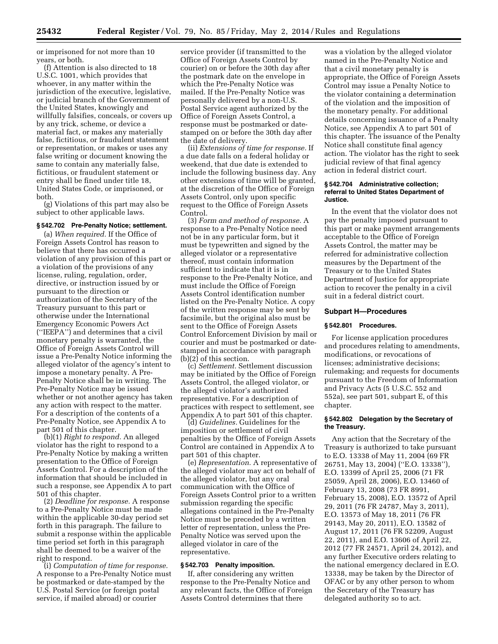or imprisoned for not more than 10 years, or both.

(f) Attention is also directed to 18 U.S.C. 1001, which provides that whoever, in any matter within the jurisdiction of the executive, legislative, or judicial branch of the Government of the United States, knowingly and willfully falsifies, conceals, or covers up by any trick, scheme, or device a material fact, or makes any materially false, fictitious, or fraudulent statement or representation, or makes or uses any false writing or document knowing the same to contain any materially false, fictitious, or fraudulent statement or entry shall be fined under title 18, United States Code, or imprisoned, or both.

(g) Violations of this part may also be subject to other applicable laws.

#### **§ 542.702 Pre-Penalty Notice; settlement.**

(a) *When required.* If the Office of Foreign Assets Control has reason to believe that there has occurred a violation of any provision of this part or a violation of the provisions of any license, ruling, regulation, order, directive, or instruction issued by or pursuant to the direction or authorization of the Secretary of the Treasury pursuant to this part or otherwise under the International Emergency Economic Powers Act (''IEEPA'') and determines that a civil monetary penalty is warranted, the Office of Foreign Assets Control will issue a Pre-Penalty Notice informing the alleged violator of the agency's intent to impose a monetary penalty. A Pre-Penalty Notice shall be in writing. The Pre-Penalty Notice may be issued whether or not another agency has taken any action with respect to the matter. For a description of the contents of a Pre-Penalty Notice, see Appendix A to part 501 of this chapter.

(b)(1) *Right to respond.* An alleged violator has the right to respond to a Pre-Penalty Notice by making a written presentation to the Office of Foreign Assets Control. For a description of the information that should be included in such a response, see Appendix A to part 501 of this chapter.

(2) *Deadline for response.* A response to a Pre-Penalty Notice must be made within the applicable 30-day period set forth in this paragraph. The failure to submit a response within the applicable time period set forth in this paragraph shall be deemed to be a waiver of the right to respond.

(i) *Computation of time for response.*  A response to a Pre-Penalty Notice must be postmarked or date-stamped by the U.S. Postal Service (or foreign postal service, if mailed abroad) or courier

service provider (if transmitted to the Office of Foreign Assets Control by courier) on or before the 30th day after the postmark date on the envelope in which the Pre-Penalty Notice was mailed. If the Pre-Penalty Notice was personally delivered by a non-U.S. Postal Service agent authorized by the Office of Foreign Assets Control, a response must be postmarked or datestamped on or before the 30th day after the date of delivery.

(ii) *Extensions of time for response.* If a due date falls on a federal holiday or weekend, that due date is extended to include the following business day. Any other extensions of time will be granted, at the discretion of the Office of Foreign Assets Control, only upon specific request to the Office of Foreign Assets Control.

(3) *Form and method of response.* A response to a Pre-Penalty Notice need not be in any particular form, but it must be typewritten and signed by the alleged violator or a representative thereof, must contain information sufficient to indicate that it is in response to the Pre-Penalty Notice, and must include the Office of Foreign Assets Control identification number listed on the Pre-Penalty Notice. A copy of the written response may be sent by facsimile, but the original also must be sent to the Office of Foreign Assets Control Enforcement Division by mail or courier and must be postmarked or datestamped in accordance with paragraph (b)(2) of this section.

(c) *Settlement.* Settlement discussion may be initiated by the Office of Foreign Assets Control, the alleged violator, or the alleged violator's authorized representative. For a description of practices with respect to settlement, see Appendix A to part 501 of this chapter.

(d) *Guidelines.* Guidelines for the imposition or settlement of civil penalties by the Office of Foreign Assets Control are contained in Appendix A to part 501 of this chapter.

(e) *Representation.* A representative of the alleged violator may act on behalf of the alleged violator, but any oral communication with the Office of Foreign Assets Control prior to a written submission regarding the specific allegations contained in the Pre-Penalty Notice must be preceded by a written letter of representation, unless the Pre-Penalty Notice was served upon the alleged violator in care of the representative.

#### **§ 542.703 Penalty imposition.**

If, after considering any written response to the Pre-Penalty Notice and any relevant facts, the Office of Foreign Assets Control determines that there

was a violation by the alleged violator named in the Pre-Penalty Notice and that a civil monetary penalty is appropriate, the Office of Foreign Assets Control may issue a Penalty Notice to the violator containing a determination of the violation and the imposition of the monetary penalty. For additional details concerning issuance of a Penalty Notice, see Appendix A to part 501 of this chapter. The issuance of the Penalty Notice shall constitute final agency action. The violator has the right to seek judicial review of that final agency action in federal district court.

# **§ 542.704 Administrative collection; referral to United States Department of Justice.**

In the event that the violator does not pay the penalty imposed pursuant to this part or make payment arrangements acceptable to the Office of Foreign Assets Control, the matter may be referred for administrative collection measures by the Department of the Treasury or to the United States Department of Justice for appropriate action to recover the penalty in a civil suit in a federal district court.

# **Subpart H—Procedures**

# **§ 542.801 Procedures.**

For license application procedures and procedures relating to amendments, modifications, or revocations of licenses; administrative decisions; rulemaking; and requests for documents pursuant to the Freedom of Information and Privacy Acts (5 U.S.C. 552 and 552a), see part 501, subpart E, of this chapter.

# **§ 542.802 Delegation by the Secretary of the Treasury.**

Any action that the Secretary of the Treasury is authorized to take pursuant to E.O. 13338 of May 11, 2004 (69 FR 26751, May 13, 2004) (''E.O. 13338''), E.O. 13399 of April 25, 2006 (71 FR 25059, April 28, 2006), E.O. 13460 of February 13, 2008 (73 FR 8991, February 15, 2008), E.O. 13572 of April 29, 2011 (76 FR 24787, May 3, 2011), E.O. 13573 of May 18, 2011 (76 FR 29143, May 20, 2011), E.O. 13582 of August 17, 2011 (76 FR 52209, August 22, 2011), and E.O. 13606 of April 22, 2012 (77 FR 24571, April 24, 2012), and any further Executive orders relating to the national emergency declared in E.O. 13338, may be taken by the Director of OFAC or by any other person to whom the Secretary of the Treasury has delegated authority so to act.